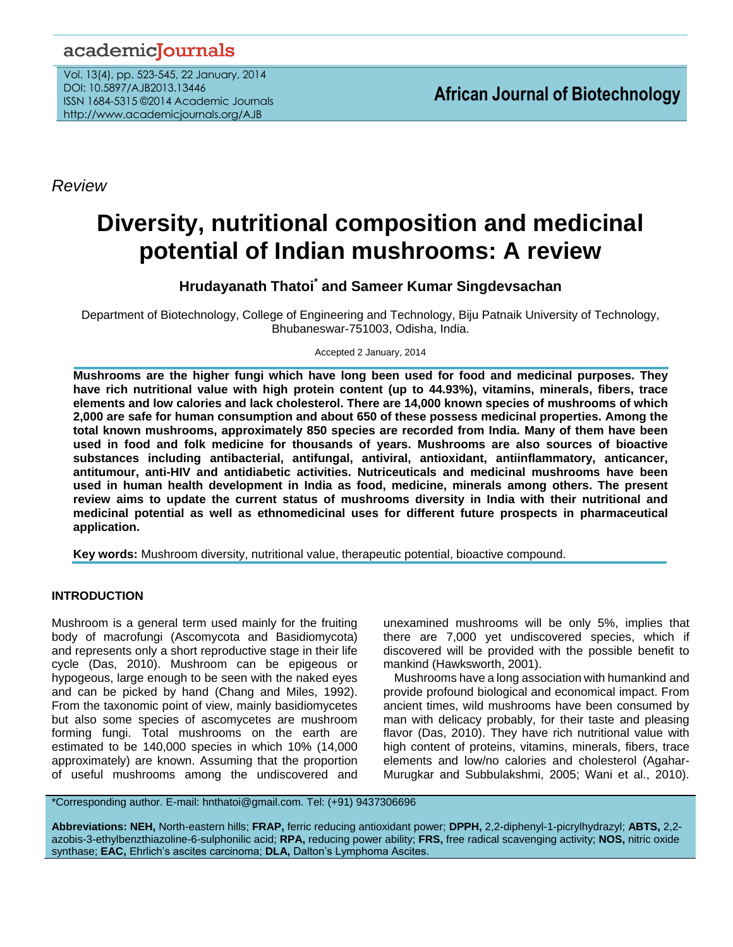## academiclournals

Vol. 13(4), pp. 523-545, 22 January, 2014 DOI: 10.5897/AJB2013.13446 ISSN 1684-5315 ©2014 Academic Journals http://www.academicjournals.org/AJB

*Review*

# **Diversity, nutritional composition and medicinal potential of Indian mushrooms: A review**

**Hrudayanath Thatoi\* and Sameer Kumar Singdevsachan**

Department of Biotechnology, College of Engineering and Technology, Biju Patnaik University of Technology, Bhubaneswar-751003, Odisha, India.

Accepted 2 January, 2014

**Mushrooms are the higher fungi which have long been used for food and medicinal purposes. They have rich nutritional value with high protein content (up to 44.93%), vitamins, minerals, fibers, trace elements and low calories and lack cholesterol. There are 14,000 known species of mushrooms of which 2,000 are safe for human consumption and about 650 of these possess medicinal properties. Among the total known mushrooms, approximately 850 species are recorded from India. Many of them have been used in food and folk medicine for thousands of years. Mushrooms are also sources of bioactive substances including antibacterial, antifungal, antiviral, antioxidant, antiinflammatory, anticancer, antitumour, anti-HIV and antidiabetic activities. Nutriceuticals and medicinal mushrooms have been used in human health development in India as food, medicine, minerals among others. The present review aims to update the current status of mushrooms diversity in India with their nutritional and medicinal potential as well as ethnomedicinal uses for different future prospects in pharmaceutical application.**

**Key words:** Mushroom diversity, nutritional value, therapeutic potential, bioactive compound.

## **INTRODUCTION**

Mushroom is a general term used mainly for the fruiting body of macrofungi (Ascomycota and Basidiomycota) and represents only a short reproductive stage in their life cycle (Das, 2010). Mushroom can be epigeous or hypogeous, large enough to be seen with the naked eyes and can be picked by hand (Chang and Miles, 1992). From the taxonomic point of view, mainly basidiomycetes but also some species of ascomycetes are mushroom forming fungi. Total mushrooms on the earth are estimated to be 140,000 species in which 10% (14,000 approximately) are known. Assuming that the proportion of useful mushrooms among the undiscovered and

unexamined mushrooms will be only 5%, implies that there are 7,000 yet undiscovered species, which if discovered will be provided with the possible benefit to mankind (Hawksworth, 2001).

Mushrooms have a long association with humankind and provide profound biological and economical impact. From ancient times, wild mushrooms have been consumed by man with delicacy probably, for their taste and pleasing flavor (Das, 2010). They have rich nutritional value with high content of proteins, vitamins, minerals, fibers, trace elements and low/no calories and cholesterol (Agahar-Murugkar and Subbulakshmi, 2005; Wani et al., 2010).

\*Corresponding author. E-mail: hnthatoi@gmail.com. Tel: (+91) 9437306696

**Abbreviations: NEH,** North-eastern hills; **FRAP,** ferric reducing antioxidant power; **DPPH,** 2,2-diphenyl-1-picrylhydrazyl; **ABTS,** 2,2 azobis-3-ethylbenzthiazoline-6-sulphonilic acid; **RPA,** reducing power ability; **FRS,** free radical scavenging activity; **NOS,** nitric oxide synthase; **EAC,** Ehrlich's ascites carcinoma; **DLA,** Dalton's Lymphoma Ascites.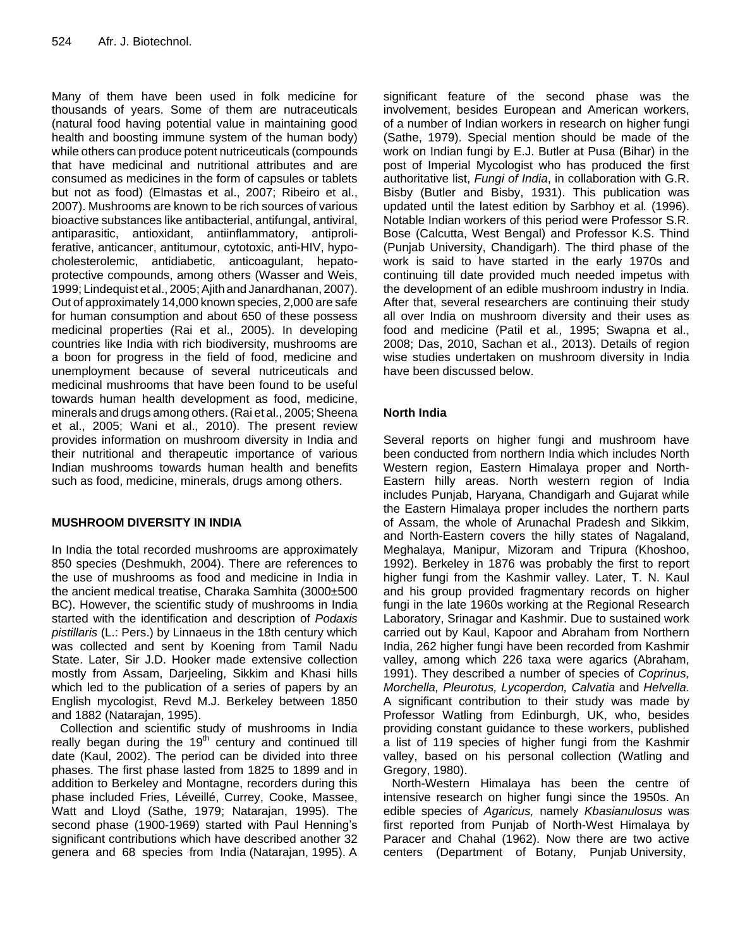Many of them have been used in folk medicine for thousands of years. Some of them are nutraceuticals (natural food having potential value in maintaining good health and boosting immune system of the human body) while others can produce potent nutriceuticals (compounds that have medicinal and nutritional attributes and are consumed as medicines in the form of capsules or tablets but not as food) (Elmastas et al., 2007; Ribeiro et al., 2007). Mushrooms are known to be rich sources of various bioactive substances like antibacterial, antifungal, antiviral, antiparasitic, antioxidant, antiinflammatory, antiproliferative, anticancer, antitumour, cytotoxic, anti-HIV, hypocholesterolemic, antidiabetic, anticoagulant, hepatoprotective compounds, among others (Wasser and Weis, 1999; Lindequist et al., 2005;Ajith and Janardhanan, 2007). Out of approximately 14,000 known species, 2,000 are safe for human consumption and about 650 of these possess medicinal properties (Rai et al., 2005). In developing countries like India with rich biodiversity, mushrooms are a boon for progress in the field of food, medicine and unemployment because of several nutriceuticals and medicinal mushrooms that have been found to be useful towards human health development as food, medicine, minerals and drugs among others. (Rai et al., 2005; Sheena et al., 2005; Wani et al., 2010). The present review provides information on mushroom diversity in India and their nutritional and therapeutic importance of various Indian mushrooms towards human health and benefits such as food, medicine, minerals, drugs among others.

## **MUSHROOM DIVERSITY IN INDIA**

In India the total recorded mushrooms are approximately 850 species (Deshmukh, 2004). There are references to the use of mushrooms as food and medicine in India in the ancient medical treatise, Charaka Samhita (3000±500 BC). However, the scientific study of mushrooms in India started with the identification and description of *Podaxis pistillaris* (L.: Pers.) by Linnaeus in the 18th century which was collected and sent by Koening from Tamil Nadu State. Later, Sir J.D. Hooker made extensive collection mostly from Assam, Darjeeling, Sikkim and Khasi hills which led to the publication of a series of papers by an English mycologist, Revd M.J. Berkeley between 1850 and 1882 (Natarajan, 1995).

Collection and scientific study of mushrooms in India really began during the  $19<sup>th</sup>$  century and continued till date (Kaul, 2002). The period can be divided into three phases. The first phase lasted from 1825 to 1899 and in addition to Berkeley and Montagne, recorders during this phase included Fries, Léveillé, Currey, Cooke, Massee, Watt and Lloyd (Sathe, 1979; Natarajan, 1995). The second phase (1900-1969) started with Paul Henning's significant contributions which have described another 32 genera and 68 species from India (Natarajan, 1995). A

significant feature of the second phase was the involvement, besides European and American workers, of a number of Indian workers in research on higher fungi (Sathe, 1979). Special mention should be made of the work on Indian fungi by E.J. Butler at Pusa (Bihar) in the post of Imperial Mycologist who has produced the first authoritative list, *Fungi of India*, in collaboration with G.R. Bisby (Butler and Bisby, 1931). This publication was updated until the latest edition by Sarbhoy et al*.* (1996). Notable Indian workers of this period were Professor S.R. Bose (Calcutta, West Bengal) and Professor K.S. Thind (Punjab University, Chandigarh). The third phase of the work is said to have started in the early 1970s and continuing till date provided much needed impetus with the development of an edible mushroom industry in India. After that, several researchers are continuing their study all over India on mushroom diversity and their uses as food and medicine (Patil et al*.,* 1995; Swapna et al., 2008; Das, 2010, Sachan et al., 2013). Details of region wise studies undertaken on mushroom diversity in India have been discussed below.

## **North India**

Several reports on higher fungi and mushroom have been conducted from northern India which includes North Western region, Eastern Himalaya proper and North-Eastern hilly areas. North western region of India includes Punjab, Haryana, Chandigarh and Gujarat while the Eastern Himalaya proper includes the northern parts of Assam, the whole of Arunachal Pradesh and Sikkim, and North-Eastern covers the hilly states of Nagaland, Meghalaya, Manipur, Mizoram and Tripura (Khoshoo, 1992). Berkeley in 1876 was probably the first to report higher fungi from the Kashmir valley. Later, T. N. Kaul and his group provided fragmentary records on higher fungi in the late 1960s working at the Regional Research Laboratory, Srinagar and Kashmir. Due to sustained work carried out by Kaul, Kapoor and Abraham from Northern India, 262 higher fungi have been recorded from Kashmir valley, among which 226 taxa were agarics (Abraham, 1991). They described a number of species of *Coprinus, Morchella, Pleurotus, Lycoperdon, Calvatia* and *Helvella.*  A significant contribution to their study was made by Professor Watling from Edinburgh, UK, who, besides providing constant guidance to these workers, published a list of 119 species of higher fungi from the Kashmir valley, based on his personal collection (Watling and Gregory, 1980).

North-Western Himalaya has been the centre of intensive research on higher fungi since the 1950s. An edible species of *Agaricus,* namely *Kbasianulosus* was first reported from Punjab of North-West Himalaya by Paracer and Chahal (1962). Now there are two active centers (Department of Botany, Punjab University,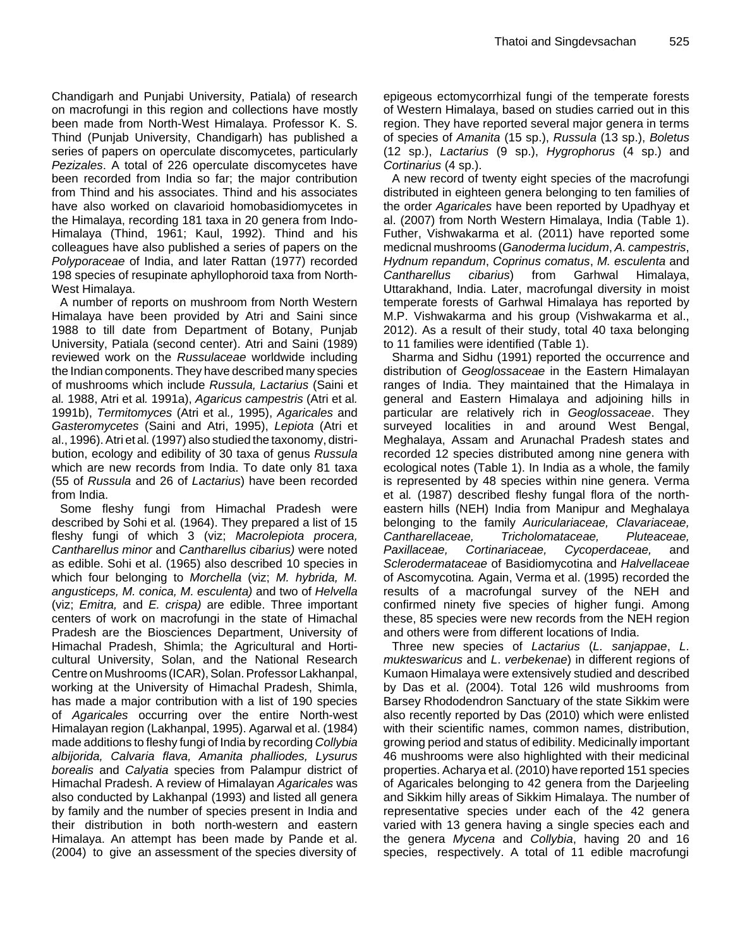Chandigarh and Punjabi University, Patiala) of research on macrofungi in this region and collections have mostly been made from North-West Himalaya. Professor K. S. Thind (Punjab University, Chandigarh) has published a series of papers on operculate discomycetes, particularly *Pezizales*. A total of 226 operculate discomycetes have been recorded from India so far; the major contribution from Thind and his associates. Thind and his associates have also worked on clavarioid homobasidiomycetes in the Himalaya, recording 181 taxa in 20 genera from Indo-Himalaya (Thind, 1961; Kaul, 1992). Thind and his colleagues have also published a series of papers on the *Polyporaceae* of India, and later Rattan (1977) recorded 198 species of resupinate aphyllophoroid taxa from North-West Himalaya.

A number of reports on mushroom from North Western Himalaya have been provided by Atri and Saini since 1988 to till date from Department of Botany, Punjab University, Patiala (second center). Atri and Saini (1989) reviewed work on the *Russulaceae* worldwide including the Indian components. They have described many species of mushrooms which include *Russula, Lactarius* (Saini et al*.* 1988, Atri et al*.* 1991a), *Agaricus campestris* (Atri et al*.*  1991b), *Termitomyces* (Atri et al*.,* 1995), *Agaricales* and *Gasteromycetes* (Saini and Atri, 1995), *Lepiota* (Atri et al., 1996).Atri et al*.*(1997) also studied the taxonomy, distribution, ecology and edibility of 30 taxa of genus *Russula*  which are new records from India. To date only 81 taxa (55 of *Russula* and 26 of *Lactarius*) have been recorded from India.

Some fleshy fungi from Himachal Pradesh were described by Sohi et al*.* (1964). They prepared a list of 15 fleshy fungi of which 3 (viz; *Macrolepiota procera, Cantharellus minor* and *Cantharellus cibarius)* were noted as edible. Sohi et al. (1965) also described 10 species in which four belonging to *Morchella* (viz; *M. hybrida, M. angusticeps, M. conica, M. esculenta)* and two of *Helvella* (viz; *Emitra,* and *E. crispa)* are edible. Three important centers of work on macrofungi in the state of Himachal Pradesh are the Biosciences Department, University of Himachal Pradesh, Shimla; the Agricultural and Horticultural University, Solan, and the National Research Centre on Mushrooms (ICAR), Solan. Professor Lakhanpal, working at the University of Himachal Pradesh, Shimla, has made a major contribution with a list of 190 species of *Agaricales* occurring over the entire North-west Himalayan region (Lakhanpal, 1995). Agarwal et al. (1984) made additions to fleshy fungi of India by recording *Collybia albijorida, Calvaria flava, Amanita phalliodes, Lysurus borealis* and *Calyatia* species from Palampur district of Himachal Pradesh. A review of Himalayan *Agaricales* was also conducted by Lakhanpal (1993) and listed all genera by family and the number of species present in India and their distribution in both north-western and eastern Himalaya. An attempt has been made by Pande et al. (2004) to give an assessment of the species diversity of

epigeous ectomycorrhizal fungi of the temperate forests of Western Himalaya, based on studies carried out in this region. They have reported several major genera in terms of species of *Amanita* (15 sp.), *Russula* (13 sp.), *Boletus*  (12 sp.), *Lactarius* (9 sp.), *Hygrophorus* (4 sp.) and *Cortinarius* (4 sp.).

A new record of twenty eight species of the macrofungi distributed in eighteen genera belonging to ten families of the order *Agaricales* have been reported by Upadhyay et al. (2007) from North Western Himalaya, India (Table 1). Futher, Vishwakarma et al. (2011) have reported some medicnal mushrooms (*Ganoderma lucidum*, *A. campestris*, *Hydnum repandum*, *Coprinus comatus*, *M. esculenta* and *Cantharellus cibarius*) from Garhwal Himalaya, Uttarakhand, India. Later, macrofungal diversity in moist temperate forests of Garhwal Himalaya has reported by M.P. Vishwakarma and his group (Vishwakarma et al., 2012). As a result of their study, total 40 taxa belonging to 11 families were identified (Table 1).

Sharma and Sidhu (1991) reported the occurrence and distribution of *Geoglossaceae* in the Eastern Himalayan ranges of India. They maintained that the Himalaya in general and Eastern Himalaya and adjoining hills in particular are relatively rich in *Geoglossaceae*. They surveyed localities in and around West Bengal, Meghalaya, Assam and Arunachal Pradesh states and recorded 12 species distributed among nine genera with ecological notes (Table 1). In India as a whole, the family is represented by 48 species within nine genera. Verma et al*.* (1987) described fleshy fungal flora of the northeastern hills (NEH) India from Manipur and Meghalaya belonging to the family *Auriculariaceae, Clavariaceae, Cantharellaceae, Tricholomataceae, Pluteaceae, Paxillaceae, Cortinariaceae, Cycoperdaceae,* and *Sclerodermataceae* of Basidiomycotina and *Halvellaceae*  of Ascomycotina*.* Again, Verma et al. (1995) recorded the results of a macrofungal survey of the NEH and confirmed ninety five species of higher fungi. Among these, 85 species were new records from the NEH region and others were from different locations of India.

Three new species of *Lactarius* (*L. sanjappae*, *L*. *mukteswaricus* and *L*. *verbekenae*) in different regions of Kumaon Himalaya were extensively studied and described by Das et al. (2004). Total 126 wild mushrooms from Barsey Rhododendron Sanctuary of the state Sikkim were also recently reported by Das (2010) which were enlisted with their scientific names, common names, distribution, growing period and status of edibility. Medicinally important 46 mushrooms were also highlighted with their medicinal properties. Acharya et al. (2010) have reported 151 species of Agaricales belonging to 42 genera from the Darjeeling and Sikkim hilly areas of Sikkim Himalaya. The number of representative species under each of the 42 genera varied with 13 genera having a single species each and the genera *Mycena* and *Collybia*, having 20 and 16 species, respectively. A total of 11 edible macrofungi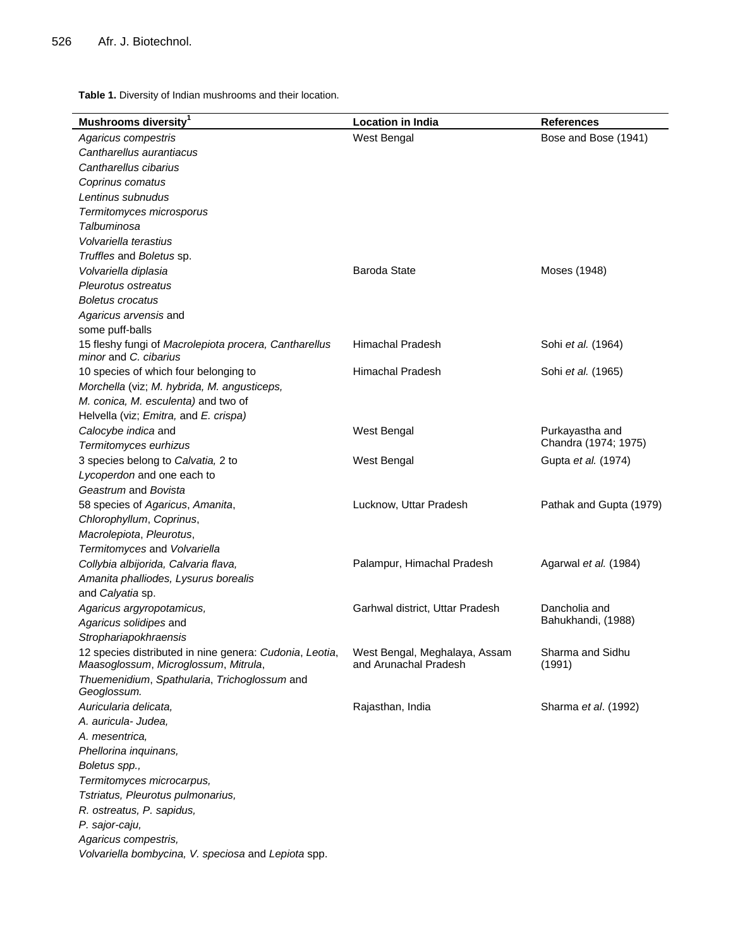**Table 1.** Diversity of Indian mushrooms and their location.

| Mushrooms diversity <sup>1</sup>                                                                | <b>Location in India</b>                               | <b>References</b>          |
|-------------------------------------------------------------------------------------------------|--------------------------------------------------------|----------------------------|
| Agaricus compestris                                                                             | West Bengal                                            | Bose and Bose (1941)       |
| Cantharellus aurantiacus                                                                        |                                                        |                            |
| Cantharellus cibarius                                                                           |                                                        |                            |
| Coprinus comatus                                                                                |                                                        |                            |
| Lentinus subnudus                                                                               |                                                        |                            |
| Termitomyces microsporus                                                                        |                                                        |                            |
| Talbuminosa                                                                                     |                                                        |                            |
| Volvariella terastius                                                                           |                                                        |                            |
| Truffles and Boletus sp.                                                                        |                                                        |                            |
| Volvariella diplasia                                                                            | <b>Baroda State</b>                                    | Moses (1948)               |
| Pleurotus ostreatus                                                                             |                                                        |                            |
| <b>Boletus crocatus</b>                                                                         |                                                        |                            |
| Agaricus arvensis and                                                                           |                                                        |                            |
| some puff-balls                                                                                 |                                                        |                            |
| 15 fleshy fungi of Macrolepiota procera, Cantharellus<br>minor and C. cibarius                  | Himachal Pradesh                                       | Sohi et al. (1964)         |
| 10 species of which four belonging to                                                           | <b>Himachal Pradesh</b>                                | Sohi et al. (1965)         |
| Morchella (viz; M. hybrida, M. angusticeps,                                                     |                                                        |                            |
| M. conica, M. esculenta) and two of                                                             |                                                        |                            |
| Helvella (viz; Emitra, and E. crispa)                                                           |                                                        |                            |
| Calocybe indica and                                                                             | West Bengal                                            | Purkayastha and            |
| Termitomyces eurhizus                                                                           |                                                        | Chandra (1974; 1975)       |
| 3 species belong to Calvatia, 2 to                                                              | West Bengal                                            | Gupta et al. (1974)        |
| Lycoperdon and one each to                                                                      |                                                        |                            |
| Geastrum and Bovista                                                                            |                                                        |                            |
| 58 species of Agaricus, Amanita,                                                                | Lucknow, Uttar Pradesh                                 | Pathak and Gupta (1979)    |
| Chlorophyllum, Coprinus,                                                                        |                                                        |                            |
| Macrolepiota, Pleurotus,                                                                        |                                                        |                            |
| Termitomyces and Volvariella                                                                    |                                                        |                            |
| Collybia albijorida, Calvaria flava,                                                            | Palampur, Himachal Pradesh                             | Agarwal et al. (1984)      |
| Amanita phalliodes, Lysurus borealis                                                            |                                                        |                            |
| and Calyatia sp.                                                                                |                                                        |                            |
| Agaricus argyropotamicus,                                                                       | Garhwal district, Uttar Pradesh                        | Dancholia and              |
| Agaricus solidipes and                                                                          |                                                        | Bahukhandi, (1988)         |
| Strophariapokhraensis                                                                           |                                                        |                            |
| 12 species distributed in nine genera: Cudonia, Leotia,<br>Maasoglossum, Microglossum, Mitrula, | West Bengal, Meghalaya, Assam<br>and Arunachal Pradesh | Sharma and Sidhu<br>(1991) |
| Thuemenidium, Spathularia, Trichoglossum and<br>Geoglossum.                                     |                                                        |                            |
| Auricularia delicata,                                                                           | Rajasthan, India                                       | Sharma et al. (1992)       |
| A. auricula- Judea,                                                                             |                                                        |                            |
| A. mesentrica,                                                                                  |                                                        |                            |
| Phellorina inquinans,                                                                           |                                                        |                            |
| Boletus spp.,                                                                                   |                                                        |                            |
| Termitomyces microcarpus,                                                                       |                                                        |                            |
| Tstriatus, Pleurotus pulmonarius,                                                               |                                                        |                            |
| R. ostreatus, P. sapidus,                                                                       |                                                        |                            |
| P. sajor-caju,                                                                                  |                                                        |                            |
| Agaricus compestris,                                                                            |                                                        |                            |
| Volvariella bombycina, V. speciosa and Lepiota spp.                                             |                                                        |                            |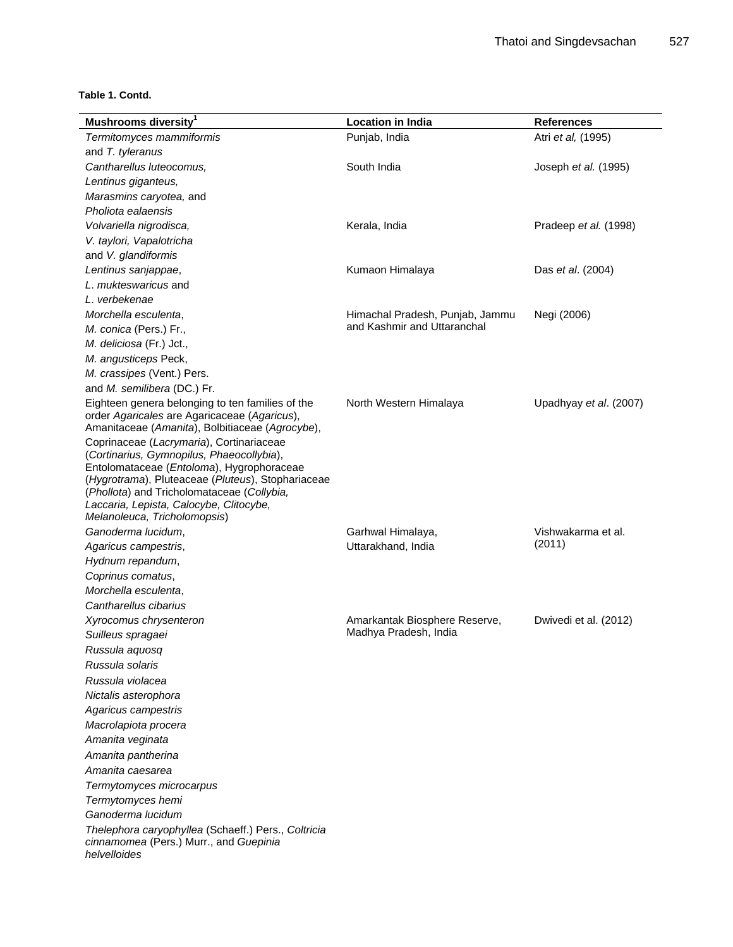#### **Table 1. Contd.**

| Mushrooms diversity <sup>1</sup>                                                                              | <b>Location in India</b>        | <b>References</b>      |
|---------------------------------------------------------------------------------------------------------------|---------------------------------|------------------------|
| Termitomyces mammiformis                                                                                      | Punjab, India                   | Atri et al, (1995)     |
| and T. tyleranus                                                                                              |                                 |                        |
| Cantharellus luteocomus,                                                                                      | South India                     | Joseph et al. (1995)   |
| Lentinus giganteus,                                                                                           |                                 |                        |
| Marasmins caryotea, and                                                                                       |                                 |                        |
| Pholiota ealaensis                                                                                            |                                 |                        |
| Volvariella nigrodisca,                                                                                       | Kerala, India                   | Pradeep et al. (1998)  |
| V. taylori, Vapalotricha                                                                                      |                                 |                        |
| and V. glandiformis                                                                                           |                                 |                        |
| Lentinus sanjappae,                                                                                           | Kumaon Himalaya                 | Das et al. (2004)      |
| L. mukteswaricus and                                                                                          |                                 |                        |
| L. verbekenae                                                                                                 |                                 |                        |
| Morchella esculenta.                                                                                          | Himachal Pradesh, Punjab, Jammu | Negi (2006)            |
| M. conica (Pers.) Fr.,                                                                                        | and Kashmir and Uttaranchal     |                        |
| M. deliciosa (Fr.) Jct.,                                                                                      |                                 |                        |
| M. angusticeps Peck,                                                                                          |                                 |                        |
| M. crassipes (Vent.) Pers.                                                                                    |                                 |                        |
| and M. semilibera (DC.) Fr.                                                                                   |                                 |                        |
| Eighteen genera belonging to ten families of the                                                              | North Western Himalaya          | Upadhyay et al. (2007) |
| order Agaricales are Agaricaceae (Agaricus),<br>Amanitaceae (Amanita), Bolbitiaceae (Agrocybe),               |                                 |                        |
| Coprinaceae (Lacrymaria), Cortinariaceae                                                                      |                                 |                        |
| (Cortinarius, Gymnopilus, Phaeocollybia),                                                                     |                                 |                        |
| Entolomataceae (Entoloma), Hygrophoraceae<br>(Hygrotrama), Pluteaceae (Pluteus), Stophariaceae                |                                 |                        |
| (Phollota) and Tricholomataceae (Collybia,                                                                    |                                 |                        |
| Laccaria, Lepista, Calocybe, Clitocybe,                                                                       |                                 |                        |
| Melanoleuca, Tricholomopsis)                                                                                  |                                 |                        |
| Ganoderma lucidum,                                                                                            | Garhwal Himalaya,               | Vishwakarma et al.     |
| Agaricus campestris,                                                                                          | Uttarakhand, India              | (2011)                 |
| Hydnum repandum,                                                                                              |                                 |                        |
| Coprinus comatus,                                                                                             |                                 |                        |
| Morchella esculenta,                                                                                          |                                 |                        |
| Cantharellus cibarius                                                                                         |                                 |                        |
| Xyrocomus chrysenteron                                                                                        | Amarkantak Biosphere Reserve,   | Dwivedi et al. (2012)  |
| Suilleus spragaei                                                                                             | Madhya Pradesh, India           |                        |
| Russula aquosq                                                                                                |                                 |                        |
| Russula solaris                                                                                               |                                 |                        |
| Russula violacea                                                                                              |                                 |                        |
| Nictalis asterophora                                                                                          |                                 |                        |
| Agaricus campestris                                                                                           |                                 |                        |
| Macrolapiota procera                                                                                          |                                 |                        |
| Amanita veginata                                                                                              |                                 |                        |
| Amanita pantherina                                                                                            |                                 |                        |
| Amanita caesarea                                                                                              |                                 |                        |
| Termytomyces microcarpus                                                                                      |                                 |                        |
| Termytomyces hemi                                                                                             |                                 |                        |
| Ganoderma lucidum                                                                                             |                                 |                        |
| Thelephora caryophyllea (Schaeff.) Pers., Coltricia<br>cinnamomea (Pers.) Murr., and Guepinia<br>helvelloides |                                 |                        |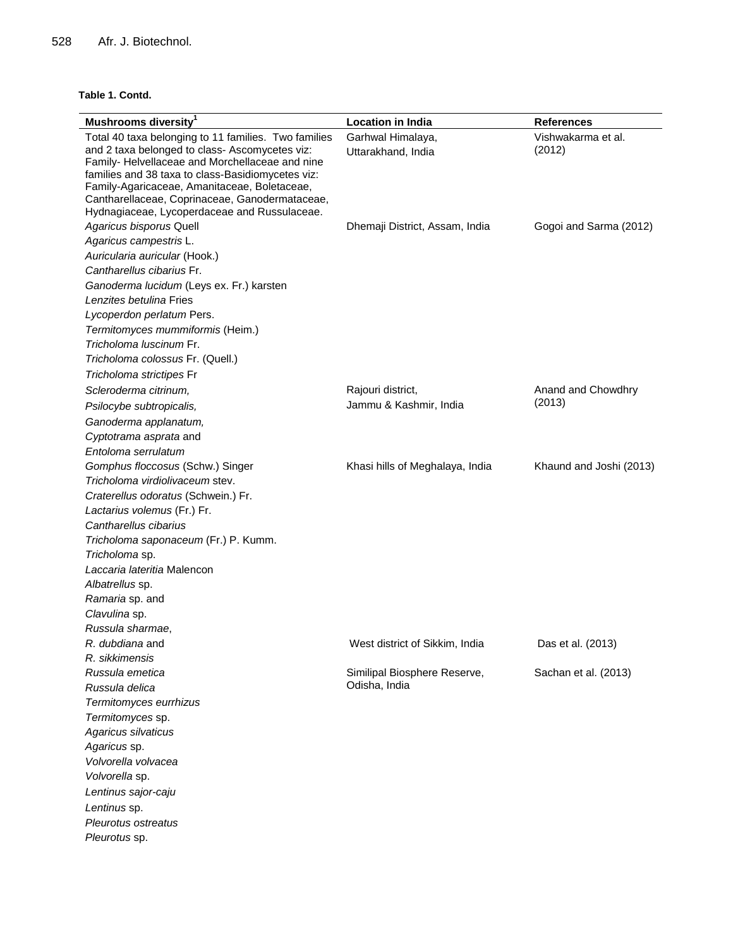#### **Table 1. Contd.**

| Mushrooms diversity <sup>1</sup>                                                                  | <b>Location in India</b>        | <b>References</b>       |
|---------------------------------------------------------------------------------------------------|---------------------------------|-------------------------|
| Total 40 taxa belonging to 11 families. Two families                                              | Garhwal Himalaya,               | Vishwakarma et al.      |
| and 2 taxa belonged to class- Ascomycetes viz:                                                    | Uttarakhand, India              | (2012)                  |
| Family- Helvellaceae and Morchellaceae and nine                                                   |                                 |                         |
| families and 38 taxa to class-Basidiomycetes viz:<br>Family-Agaricaceae, Amanitaceae, Boletaceae, |                                 |                         |
| Cantharellaceae, Coprinaceae, Ganodermataceae,                                                    |                                 |                         |
| Hydnagiaceae, Lycoperdaceae and Russulaceae.                                                      |                                 |                         |
| Agaricus bisporus Quell                                                                           | Dhemaji District, Assam, India  | Gogoi and Sarma (2012)  |
| Agaricus campestris L.                                                                            |                                 |                         |
| Auricularia auricular (Hook.)                                                                     |                                 |                         |
| Cantharellus cibarius Fr.                                                                         |                                 |                         |
| Ganoderma lucidum (Leys ex. Fr.) karsten                                                          |                                 |                         |
| Lenzites betulina Fries                                                                           |                                 |                         |
| Lycoperdon perlatum Pers.                                                                         |                                 |                         |
| Termitomyces mummiformis (Heim.)                                                                  |                                 |                         |
| Tricholoma luscinum Fr.                                                                           |                                 |                         |
| Tricholoma colossus Fr. (Quell.)                                                                  |                                 |                         |
| Tricholoma strictipes Fr                                                                          |                                 |                         |
| Scleroderma citrinum,                                                                             | Rajouri district,               | Anand and Chowdhry      |
| Psilocybe subtropicalis,                                                                          | Jammu & Kashmir, India          | (2013)                  |
| Ganoderma applanatum,                                                                             |                                 |                         |
| Cyptotrama asprata and                                                                            |                                 |                         |
| Entoloma serrulatum                                                                               |                                 |                         |
| Gomphus floccosus (Schw.) Singer                                                                  | Khasi hills of Meghalaya, India | Khaund and Joshi (2013) |
| Tricholoma virdiolivaceum stev.                                                                   |                                 |                         |
| Craterellus odoratus (Schwein.) Fr.                                                               |                                 |                         |
| Lactarius volemus (Fr.) Fr.                                                                       |                                 |                         |
| Cantharellus cibarius                                                                             |                                 |                         |
| Tricholoma saponaceum (Fr.) P. Kumm.                                                              |                                 |                         |
| Tricholoma sp.                                                                                    |                                 |                         |
| Laccaria lateritia Malencon                                                                       |                                 |                         |
| Albatrellus sp.                                                                                   |                                 |                         |
| Ramaria sp. and                                                                                   |                                 |                         |
| Clavulina sp.                                                                                     |                                 |                         |
| Russula sharmae,                                                                                  |                                 |                         |
| <i>R. dubdiana</i> and                                                                            | West district of Sikkim, India  | Das et al. (2013)       |
| R. sikkimensis                                                                                    |                                 |                         |
| Russula emetica                                                                                   | Similipal Biosphere Reserve,    | Sachan et al. (2013)    |
| Russula delica                                                                                    | Odisha, India                   |                         |
| Termitomyces eurrhizus                                                                            |                                 |                         |
| Termitomyces sp.                                                                                  |                                 |                         |
| Agaricus silvaticus                                                                               |                                 |                         |
| Agaricus sp.                                                                                      |                                 |                         |
| Volvorella volvacea                                                                               |                                 |                         |
| Volvorella sp.                                                                                    |                                 |                         |
| Lentinus sajor-caju                                                                               |                                 |                         |
| Lentinus sp.                                                                                      |                                 |                         |
| Pleurotus ostreatus                                                                               |                                 |                         |
| Pleurotus sp.                                                                                     |                                 |                         |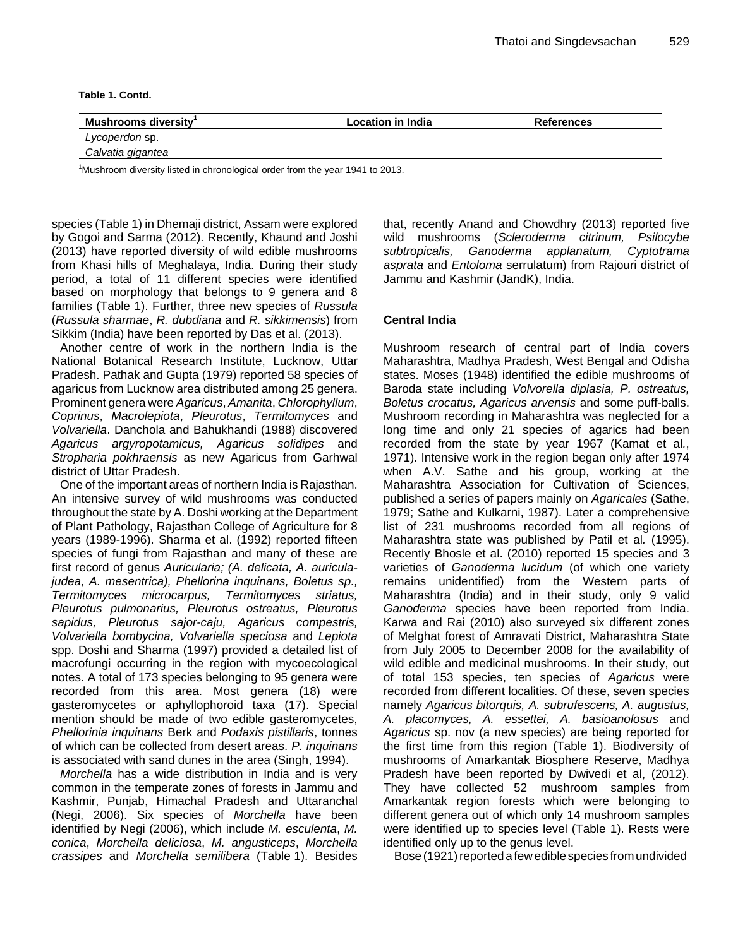**Table 1. Contd.**

| Mushrooms diversity | <b>Location in India</b> | <b>References</b> |  |
|---------------------|--------------------------|-------------------|--|
| Lycoperdon sp.      |                          |                   |  |
| Calvatia gigantea   |                          |                   |  |

 $1$ Mushroom diversity listed in chronological order from the year 1941 to 2013.

species (Table 1) in Dhemaji district, Assam were explored by Gogoi and Sarma (2012). Recently, Khaund and Joshi (2013) have reported diversity of wild edible mushrooms from Khasi hills of Meghalaya, India. During their study period, a total of 11 different species were identified based on morphology that belongs to 9 genera and 8 families (Table 1). Further, three new species of *Russula*  (*Russula sharmae*, *R. dubdiana* and *R. sikkimensis*) from Sikkim (India) have been reported by Das et al. (2013).

Another centre of work in the northern India is the National Botanical Research Institute, Lucknow, Uttar Pradesh. Pathak and Gupta (1979) reported 58 species of agaricus from Lucknow area distributed among 25 genera. Prominent genera were *Agaricus*, *Amanita*, *Chlorophyllum*, *Coprinus*, *Macrolepiota*, *Pleurotus*, *Termitomyces* and *Volvariella*. Danchola and Bahukhandi (1988) discovered *Agaricus argyropotamicus, Agaricus solidipes* and *Stropharia pokhraensis* as new Agaricus from Garhwal district of Uttar Pradesh.

One of the important areas of northern India is Rajasthan. An intensive survey of wild mushrooms was conducted throughout the state by A. Doshi working at the Department of Plant Pathology, Rajasthan College of Agriculture for 8 years (1989-1996). Sharma et al. (1992) reported fifteen species of fungi from Rajasthan and many of these are first record of genus *Auricularia; (A. delicata, A. auriculajudea, A. mesentrica), Phellorina inquinans, Boletus sp., Termitomyces microcarpus, Termitomyces striatus, Pleurotus pulmonarius, Pleurotus ostreatus, Pleurotus sapidus, Pleurotus sajor-caju, Agaricus compestris, Volvariella bombycina, Volvariella speciosa* and *Lepiota*  spp. Doshi and Sharma (1997) provided a detailed list of macrofungi occurring in the region with mycoecological notes. A total of 173 species belonging to 95 genera were recorded from this area. Most genera (18) were gasteromycetes or aphyllophoroid taxa (17). Special mention should be made of two edible gasteromycetes, *Phellorinia inquinans* Berk and *Podaxis pistillaris*, tonnes of which can be collected from desert areas. *P. inquinans*  is associated with sand dunes in the area (Singh, 1994).

*Morchella* has a wide distribution in India and is very common in the temperate zones of forests in Jammu and Kashmir, Punjab, Himachal Pradesh and Uttaranchal (Negi, 2006). Six species of *Morchella* have been identified by Negi (2006), which include *M. esculenta*, *M. conica*, *Morchella deliciosa*, *M. angusticeps*, *Morchella crassipes* and *Morchella semilibera* (Table 1). Besides

that, recently Anand and Chowdhry (2013) reported five wild mushrooms (*Scleroderma citrinum, Psilocybe*  subtropicalis, Ganoderma applanatum, *asprata* and *Entoloma* serrulatum) from Rajouri district of Jammu and Kashmir (JandK), India.

## **Central India**

Mushroom research of central part of India covers Maharashtra, Madhya Pradesh, West Bengal and Odisha states. Moses (1948) identified the edible mushrooms of Baroda state including *Volvorella diplasia, P. ostreatus, Boletus crocatus, Agaricus arvensis* and some puff-balls. Mushroom recording in Maharashtra was neglected for a long time and only 21 species of agarics had been recorded from the state by year 1967 (Kamat et al*.*, 1971). Intensive work in the region began only after 1974 when A.V. Sathe and his group, working at the Maharashtra Association for Cultivation of Sciences, published a series of papers mainly on *Agaricales* (Sathe, 1979; Sathe and Kulkarni, 1987). Later a comprehensive list of 231 mushrooms recorded from all regions of Maharashtra state was published by Patil et al*.* (1995). Recently Bhosle et al. (2010) reported 15 species and 3 varieties of *Ganoderma lucidum* (of which one variety remains unidentified) from the Western parts of Maharashtra (India) and in their study, only 9 valid *Ganoderma* species have been reported from India. Karwa and Rai (2010) also surveyed six different zones of Melghat forest of Amravati District, Maharashtra State from July 2005 to December 2008 for the availability of wild edible and medicinal mushrooms. In their study, out of total 153 species, ten species of *Agaricus* were recorded from different localities. Of these, seven species namely *Agaricus bitorquis, A. subrufescens, A. augustus, A. placomyces, A. essettei, A. basioanolosus* and *Agaricus* sp. nov (a new species) are being reported for the first time from this region (Table 1). Biodiversity of mushrooms of Amarkantak Biosphere Reserve, Madhya Pradesh have been reported by Dwivedi et al, (2012). They have collected 52 mushroom samples from Amarkantak region forests which were belonging to different genera out of which only 14 mushroom samples were identified up to species level (Table 1). Rests were identified only up to the genus level.

Bose (1921) reported a few edible species from undivided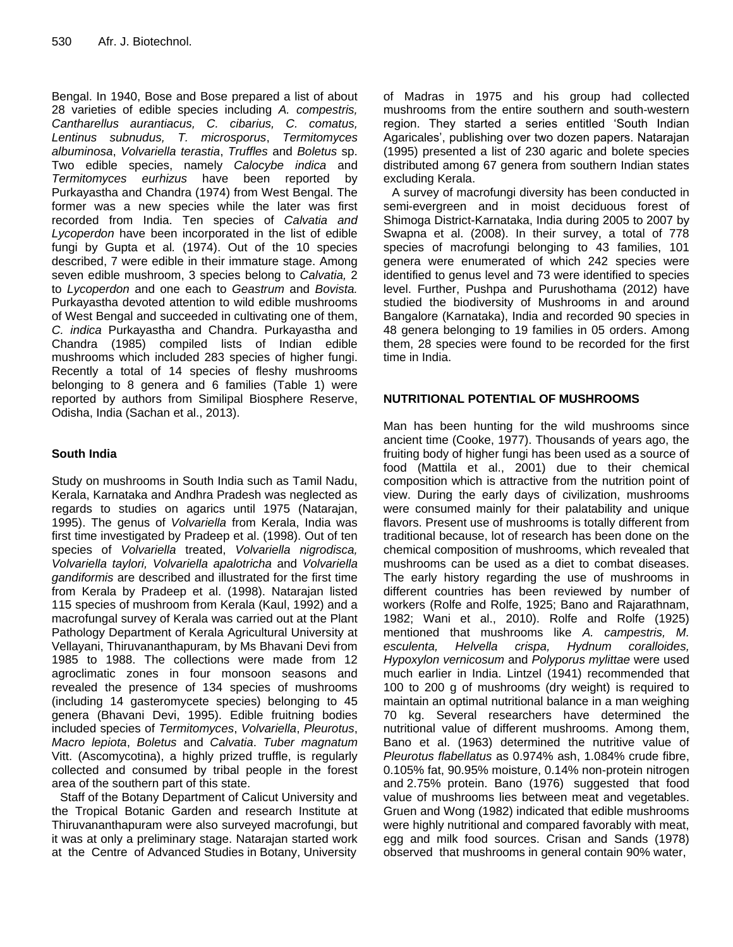Bengal. In 1940, Bose and Bose prepared a list of about 28 varieties of edible species including *A. compestris, Cantharellus aurantiacus, C. cibarius, C. comatus, Lentinus subnudus, T. microsporus*, *Termitomyces albuminosa*, *Volvariella terastia*, *Truffles* and *Boletus* sp. Two edible species, namely *Calocybe indica* and *Termitomyces eurhizus* have been reported by Purkayastha and Chandra (1974) from West Bengal. The former was a new species while the later was first recorded from India. Ten species of *Calvatia and Lycoperdon* have been incorporated in the list of edible fungi by Gupta et al*.* (1974). Out of the 10 species described, 7 were edible in their immature stage. Among seven edible mushroom, 3 species belong to *Calvatia,* 2 to *Lycoperdon* and one each to *Geastrum* and *Bovista.*  Purkayastha devoted attention to wild edible mushrooms of West Bengal and succeeded in cultivating one of them, *C. indica* Purkayastha and Chandra. Purkayastha and Chandra (1985) compiled lists of Indian edible mushrooms which included 283 species of higher fungi. Recently a total of 14 species of fleshy mushrooms belonging to 8 genera and 6 families (Table 1) were reported by authors from Similipal Biosphere Reserve, Odisha, India (Sachan et al., 2013).

## **South India**

Study on mushrooms in South India such as Tamil Nadu, Kerala, Karnataka and Andhra Pradesh was neglected as regards to studies on agarics until 1975 (Natarajan, 1995). The genus of *Volvariella* from Kerala, India was first time investigated by Pradeep et al. (1998). Out of ten species of *Volvariella* treated, *Volvariella nigrodisca, Volvariella taylori, Volvariella apalotricha* and *Volvariella gandiformis* are described and illustrated for the first time from Kerala by Pradeep et al. (1998). Natarajan listed 115 species of mushroom from Kerala (Kaul, 1992) and a macrofungal survey of Kerala was carried out at the Plant Pathology Department of Kerala Agricultural University at Vellayani, Thiruvananthapuram, by Ms Bhavani Devi from 1985 to 1988. The collections were made from 12 agroclimatic zones in four monsoon seasons and revealed the presence of 134 species of mushrooms (including 14 gasteromycete species) belonging to 45 genera (Bhavani Devi, 1995). Edible fruitning bodies included species of *Termitomyces*, *Volvariella*, *Pleurotus*, *Macro lepiota*, *Boletus* and *Calvatia*. *Tuber magnatum*  Vitt. (Ascomycotina), a highly prized truffle, is regularly collected and consumed by tribal people in the forest area of the southern part of this state.

Staff of the Botany Department of Calicut University and the Tropical Botanic Garden and research Institute at Thiruvananthapuram were also surveyed macrofungi, but it was at only a preliminary stage. Natarajan started work at the Centre of Advanced Studies in Botany, University

of Madras in 1975 and his group had collected mushrooms from the entire southern and south-western region. They started a series entitled 'South Indian Agaricales', publishing over two dozen papers. Natarajan (1995) presented a list of 230 agaric and bolete species distributed among 67 genera from southern Indian states excluding Kerala.

A survey of macrofungi diversity has been conducted in semi-evergreen and in moist deciduous forest of Shimoga District-Karnataka, India during 2005 to 2007 by Swapna et al. (2008). In their survey, a total of 778 species of macrofungi belonging to 43 families, 101 genera were enumerated of which 242 species were identified to genus level and 73 were identified to species level. Further, Pushpa and Purushothama (2012) have studied the biodiversity of Mushrooms in and around Bangalore (Karnataka), India and recorded 90 species in 48 genera belonging to 19 families in 05 orders. Among them, 28 species were found to be recorded for the first time in India.

## **NUTRITIONAL POTENTIAL OF MUSHROOMS**

Man has been hunting for the wild mushrooms since ancient time (Cooke, 1977). Thousands of years ago, the fruiting body of higher fungi has been used as a source of food (Mattila et al., 2001) due to their chemical composition which is attractive from the nutrition point of view. During the early days of civilization, mushrooms were consumed mainly for their palatability and unique flavors. Present use of mushrooms is totally different from traditional because, lot of research has been done on the chemical composition of mushrooms, which revealed that mushrooms can be used as a diet to combat diseases. The early history regarding the use of mushrooms in different countries has been reviewed by number of workers (Rolfe and Rolfe, 1925; Bano and Rajarathnam, 1982; Wani et al., 2010). Rolfe and Rolfe (1925) mentioned that mushrooms like *A. campestris, M. esculenta, Helvella crispa, Hydnum coralloides, Hypoxylon vernicosum* and *Polyporus mylittae* were used much earlier in India. Lintzel (1941) recommended that 100 to 200 g of mushrooms (dry weight) is required to maintain an optimal nutritional balance in a man weighing 70 kg. Several researchers have determined the nutritional value of different mushrooms. Among them, Bano et al. (1963) determined the nutritive value of *Pleurotus flabellatus* as 0.974% ash, 1.084% crude fibre, 0.105% fat, 90.95% moisture, 0.14% non-protein nitrogen and 2.75% protein. Bano (1976) suggested that food value of mushrooms lies between meat and vegetables. Gruen and Wong (1982) indicated that edible mushrooms were highly nutritional and compared favorably with meat, egg and milk food sources. Crisan and Sands (1978) observed that mushrooms in general contain 90% water,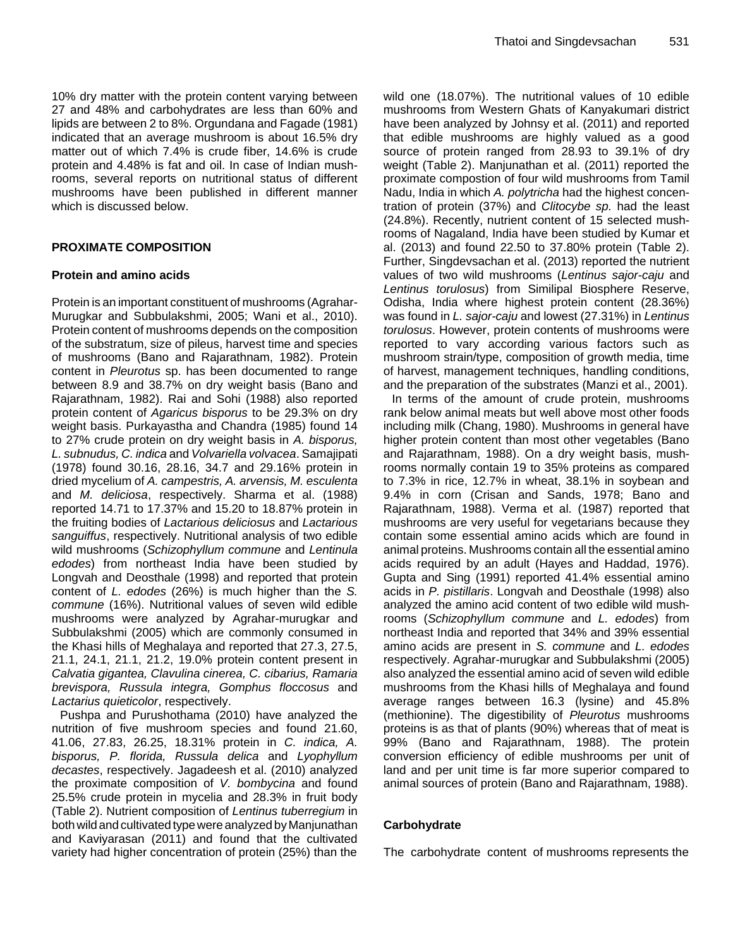10% dry matter with the protein content varying between 27 and 48% and carbohydrates are less than 60% and lipids are between 2 to 8%. Orgundana and Fagade (1981) indicated that an average mushroom is about 16.5% dry matter out of which 7.4% is crude fiber, 14.6% is crude protein and 4.48% is fat and oil. In case of Indian mushrooms, several reports on nutritional status of different mushrooms have been published in different manner which is discussed below.

## **PROXIMATE COMPOSITION**

## **Protein and amino acids**

Protein is an important constituent of mushrooms (Agrahar-Murugkar and Subbulakshmi, 2005; Wani et al., 2010). Protein content of mushrooms depends on the composition of the substratum, size of pileus, harvest time and species of mushrooms (Bano and Rajarathnam, 1982). Protein content in *Pleurotus* sp. has been documented to range between 8.9 and 38.7% on dry weight basis (Bano and Rajarathnam, 1982). Rai and Sohi (1988) also reported protein content of *Agaricus bisporus* to be 29.3% on dry weight basis. Purkayastha and Chandra (1985) found 14 to 27% crude protein on dry weight basis in *A. bisporus, L. subnudus, C. indica* and *Volvariella volvacea*. Samajipati (1978) found 30.16, 28.16, 34.7 and 29.16% protein in dried mycelium of *A. campestris, A. arvensis, M. esculenta*  and *M. deliciosa*, respectively. Sharma et al. (1988) reported 14.71 to 17.37% and 15.20 to 18.87% protein in the fruiting bodies of *Lactarious deliciosus* and *Lactarious sanguiffus*, respectively. Nutritional analysis of two edible wild mushrooms (*[Schizophyllum](http://genome.jgi-psf.org/Schco1/Schco1.home.html) commune* and *Lentinula edodes*) from northeast India have been studied by Longvah and Deosthale (1998) and reported that protein content of *L. edodes* (26%) is much higher than the *S. commune* (16%). Nutritional values of seven wild edible mushrooms were analyzed by Agrahar-murugkar and Subbulakshmi (2005) which are commonly consumed in the Khasi hills of Meghalaya and reported that 27.3, 27.5, 21.1, 24.1, 21.1, 21.2, 19.0% protein content present in *Calvatia gigantea, Clavulina cinerea, C. cibarius, Ramaria brevispora, Russula integra, Gomphus floccosus* and *Lactarius quieticolor*, respectively.

Pushpa and Purushothama (2010) have analyzed the nutrition of five mushroom species and found 21.60, 41.06, 27.83, 26.25, 18.31% protein in *C. indica, A. bisporus, P. florida, Russula delica* and *Lyophyllum decastes*, respectively. Jagadeesh et al. (2010) analyzed the proximate composition of *V. bombycina* and found 25.5% crude protein in mycelia and 28.3% in fruit body (Table 2). Nutrient composition of *Lentinus tuberregium* in both wild and cultivated type were analyzed by Manjunathan and Kaviyarasan (2011) and found that the cultivated variety had higher concentration of protein (25%) than the

wild one (18.07%). The nutritional values of 10 edible mushrooms from Western Ghats of Kanyakumari district have been analyzed by Johnsy et al. (2011) and reported that edible mushrooms are highly valued as a good source of protein ranged from 28.93 to 39.1% of dry weight (Table 2). Manjunathan et al. (2011) reported the proximate compostion of four wild mushrooms from Tamil Nadu, India in which *A. polytricha* had the highest concentration of protein (37%) and *Clitocybe sp.* had the least (24.8%). Recently, nutrient content of 15 selected mushrooms of Nagaland, India have been studied by Kumar et al. (2013) and found 22.50 to 37.80% protein (Table 2). Further, Singdevsachan et al. (2013) reported the nutrient values of two wild mushrooms (*Lentinus sajor-caju* and *Lentinus torulosus*) from Similipal Biosphere Reserve, Odisha, India where highest protein content (28.36%) was found in *L. sajor-caju* and lowest (27.31%) in *Lentinus torulosus*. However, protein contents of mushrooms were reported to vary according various factors such as mushroom strain/type, composition of growth media, time of harvest, management techniques, handling conditions, and the preparation of the substrates (Manzi et al., 2001).

In terms of the amount of crude protein, mushrooms rank below animal meats but well above most other foods including milk (Chang, 1980). Mushrooms in general have higher protein content than most other vegetables (Bano and Rajarathnam, 1988). On a dry weight basis, mushrooms normally contain 19 to 35% proteins as compared to 7.3% in rice, 12.7% in wheat, 38.1% in soybean and 9.4% in corn (Crisan and Sands, 1978; Bano and Rajarathnam, 1988). Verma et al. (1987) reported that mushrooms are very useful for vegetarians because they contain some essential amino acids which are found in animal proteins. Mushrooms contain all the essential amino acids required by an adult (Hayes and Haddad, 1976). Gupta and Sing (1991) reported 41.4% essential amino acids in *P. pistillaris*. Longvah and Deosthale (1998) also analyzed the amino acid content of two edible wild mushrooms (*Schizophyllum commune* and *L. edodes*) from northeast India and reported that 34% and 39% essential amino acids are present in *S. commune* and *L. edodes* respectively. Agrahar-murugkar and Subbulakshmi (2005) also analyzed the essential amino acid of seven wild edible mushrooms from the Khasi hills of Meghalaya and found average ranges between 16.3 (lysine) and 45.8% (methionine). The digestibility of *Pleurotus* mushrooms proteins is as that of plants (90%) whereas that of meat is 99% (Bano and Rajarathnam, 1988). The protein conversion efficiency of edible mushrooms per unit of land and per unit time is far more superior compared to animal sources of protein (Bano and Rajarathnam, 1988).

## **Carbohydrate**

The carbohydrate content of mushrooms represents the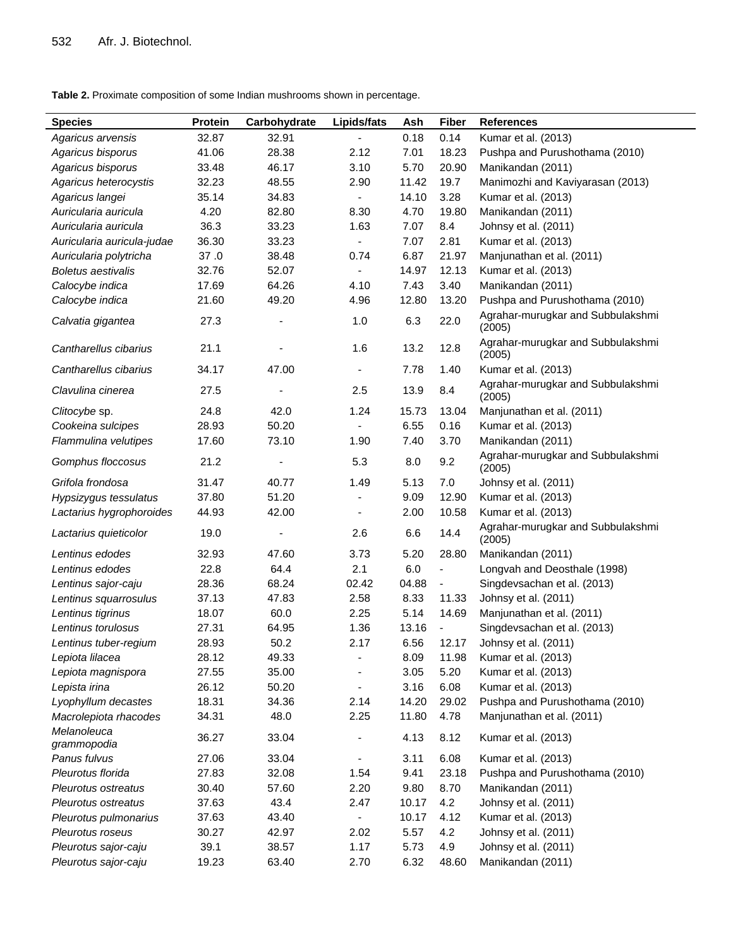**Table 2.** Proximate composition of some Indian mushrooms shown in percentage.

| <b>Species</b>             | <b>Protein</b> | Carbohydrate | Lipids/fats                  | Ash   | <b>Fiber</b> | <b>References</b>                           |
|----------------------------|----------------|--------------|------------------------------|-------|--------------|---------------------------------------------|
| Agaricus arvensis          | 32.87          | 32.91        |                              | 0.18  | 0.14         | Kumar et al. (2013)                         |
| Agaricus bisporus          | 41.06          | 28.38        | 2.12                         | 7.01  | 18.23        | Pushpa and Purushothama (2010)              |
| Agaricus bisporus          | 33.48          | 46.17        | 3.10                         | 5.70  | 20.90        | Manikandan (2011)                           |
| Agaricus heterocystis      | 32.23          | 48.55        | 2.90                         | 11.42 | 19.7         | Manimozhi and Kaviyarasan (2013)            |
| Agaricus langei            | 35.14          | 34.83        |                              | 14.10 | 3.28         | Kumar et al. (2013)                         |
| Auricularia auricula       | 4.20           | 82.80        | 8.30                         | 4.70  | 19.80        | Manikandan (2011)                           |
| Auricularia auricula       | 36.3           | 33.23        | 1.63                         | 7.07  | 8.4          | Johnsy et al. (2011)                        |
| Auricularia auricula-judae | 36.30          | 33.23        | $\overline{\phantom{a}}$     | 7.07  | 2.81         | Kumar et al. (2013)                         |
| Auricularia polytricha     | 37.0           | 38.48        | 0.74                         | 6.87  | 21.97        | Manjunathan et al. (2011)                   |
| <b>Boletus aestivalis</b>  | 32.76          | 52.07        | $\overline{\phantom{a}}$     | 14.97 | 12.13        | Kumar et al. (2013)                         |
| Calocybe indica            | 17.69          | 64.26        | 4.10                         | 7.43  | 3.40         | Manikandan (2011)                           |
| Calocybe indica            | 21.60          | 49.20        | 4.96                         | 12.80 | 13.20        | Pushpa and Purushothama (2010)              |
| Calvatia gigantea          | 27.3           |              | 1.0                          | 6.3   | 22.0         | Agrahar-murugkar and Subbulakshmi<br>(2005) |
| Cantharellus cibarius      | 21.1           |              | 1.6                          | 13.2  | 12.8         | Agrahar-murugkar and Subbulakshmi<br>(2005) |
| Cantharellus cibarius      | 34.17          | 47.00        | $\qquad \qquad \blacksquare$ | 7.78  | 1.40         | Kumar et al. (2013)                         |
| Clavulina cinerea          | 27.5           |              | 2.5                          | 13.9  | 8.4          | Agrahar-murugkar and Subbulakshmi<br>(2005) |
| Clitocybe sp.              | 24.8           | 42.0         | 1.24                         | 15.73 | 13.04        | Manjunathan et al. (2011)                   |
| Cookeina sulcipes          | 28.93          | 50.20        |                              | 6.55  | 0.16         | Kumar et al. (2013)                         |
| Flammulina velutipes       | 17.60          | 73.10        | 1.90                         | 7.40  | 3.70         | Manikandan (2011)                           |
| Gomphus floccosus          | 21.2           |              | 5.3                          | 8.0   | 9.2          | Agrahar-murugkar and Subbulakshmi<br>(2005) |
| Grifola frondosa           | 31.47          | 40.77        | 1.49                         | 5.13  | 7.0          | Johnsy et al. (2011)                        |
| Hypsizygus tessulatus      | 37.80          | 51.20        |                              | 9.09  | 12.90        | Kumar et al. (2013)                         |
| Lactarius hygrophoroides   | 44.93          | 42.00        |                              | 2.00  | 10.58        | Kumar et al. (2013)                         |
| Lactarius quieticolor      | 19.0           |              | 2.6                          | 6.6   | 14.4         | Agrahar-murugkar and Subbulakshmi<br>(2005) |
| Lentinus edodes            | 32.93          | 47.60        | 3.73                         | 5.20  | 28.80        | Manikandan (2011)                           |
| Lentinus edodes            | 22.8           | 64.4         | 2.1                          | 6.0   | ÷            | Longvah and Deosthale (1998)                |
| Lentinus sajor-caju        | 28.36          | 68.24        | 02.42                        | 04.88 | ÷            | Singdevsachan et al. (2013)                 |
| Lentinus squarrosulus      | 37.13          | 47.83        | 2.58                         | 8.33  | 11.33        | Johnsy et al. (2011)                        |
| Lentinus tigrinus          | 18.07          | 60.0         | 2.25                         | 5.14  | 14.69        | Manjunathan et al. (2011)                   |
| Lentinus torulosus         | 27.31          | 64.95        | 1.36                         | 13.16 |              | Singdevsachan et al. (2013)                 |
| Lentinus tuber-regium      | 28.93          | 50.2         | 2.17                         | 6.56  | 12.17        | Johnsy et al. (2011)                        |
| Lepiota lilacea            | 28.12          | 49.33        | $\overline{\phantom{a}}$     | 8.09  | 11.98        | Kumar et al. (2013)                         |
| Lepiota magnispora         | 27.55          | 35.00        |                              | 3.05  | 5.20         | Kumar et al. (2013)                         |
| Lepista irina              | 26.12          | 50.20        | $\overline{\phantom{a}}$     | 3.16  | 6.08         | Kumar et al. (2013)                         |
| Lyophyllum decastes        | 18.31          | 34.36        | 2.14                         | 14.20 | 29.02        | Pushpa and Purushothama (2010)              |
| Macrolepiota rhacodes      | 34.31          | 48.0         | 2.25                         | 11.80 | 4.78         | Manjunathan et al. (2011)                   |
| Melanoleuca<br>grammopodia | 36.27          | 33.04        | $\overline{\phantom{0}}$     | 4.13  | 8.12         | Kumar et al. (2013)                         |
| Panus fulvus               | 27.06          | 33.04        |                              | 3.11  | 6.08         | Kumar et al. (2013)                         |
| Pleurotus florida          | 27.83          | 32.08        | 1.54                         | 9.41  | 23.18        | Pushpa and Purushothama (2010)              |
| Pleurotus ostreatus        | 30.40          | 57.60        | 2.20                         | 9.80  | 8.70         | Manikandan (2011)                           |
| Pleurotus ostreatus        | 37.63          | 43.4         | 2.47                         | 10.17 | 4.2          | Johnsy et al. (2011)                        |
| Pleurotus pulmonarius      | 37.63          | 43.40        | $\blacksquare$               | 10.17 | 4.12         | Kumar et al. (2013)                         |
| Pleurotus roseus           | 30.27          | 42.97        | 2.02                         | 5.57  | 4.2          | Johnsy et al. (2011)                        |
| Pleurotus sajor-caju       | 39.1           | 38.57        | 1.17                         | 5.73  | 4.9          | Johnsy et al. (2011)                        |
| Pleurotus sajor-caju       | 19.23          | 63.40        | 2.70                         | 6.32  | 48.60        | Manikandan (2011)                           |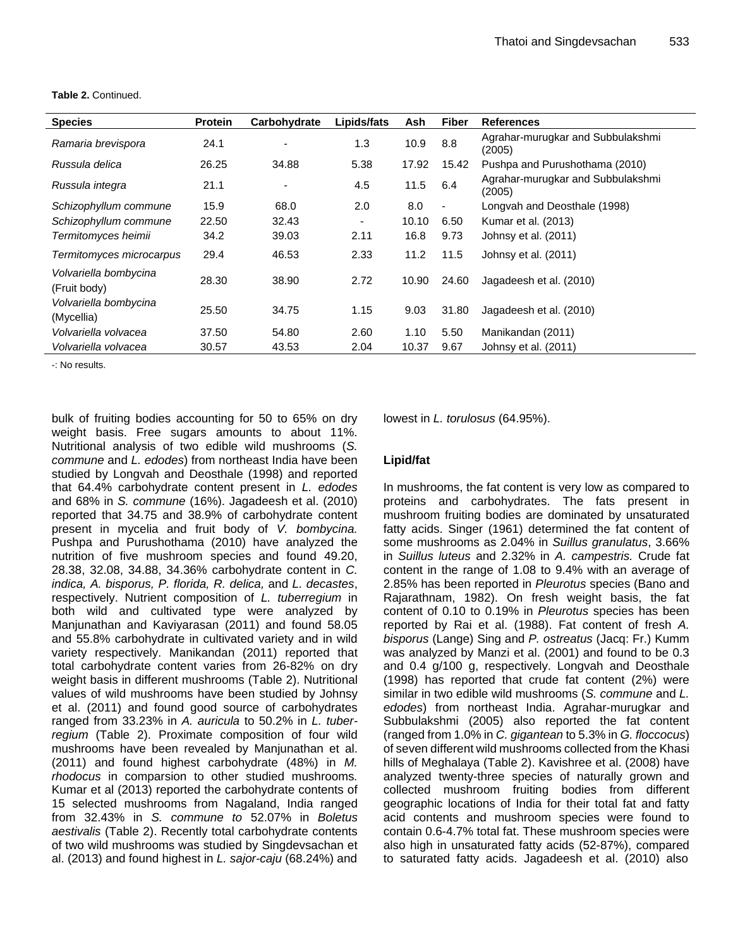| <b>Species</b>                        | <b>Protein</b> | Carbohydrate | Lipids/fats              | Ash   | <b>Fiber</b>   | <b>References</b>                           |
|---------------------------------------|----------------|--------------|--------------------------|-------|----------------|---------------------------------------------|
| Ramaria brevispora                    | 24.1           |              | 1.3                      | 10.9  | 8.8            | Agrahar-murugkar and Subbulakshmi<br>(2005) |
| Russula delica                        | 26.25          | 34.88        | 5.38                     | 17.92 | 15.42          | Pushpa and Purushothama (2010)              |
| Russula integra                       | 21.1           |              | 4.5                      | 11.5  | 6.4            | Agrahar-murugkar and Subbulakshmi<br>(2005) |
| Schizophyllum commune                 | 15.9           | 68.0         | 2.0                      | 8.0   | $\blacksquare$ | Longvah and Deosthale (1998)                |
| Schizophyllum commune                 | 22.50          | 32.43        | $\overline{\phantom{a}}$ | 10.10 | 6.50           | Kumar et al. (2013)                         |
| Termitomyces heimii                   | 34.2           | 39.03        | 2.11                     | 16.8  | 9.73           | Johnsy et al. (2011)                        |
| Termitomyces microcarpus              | 29.4           | 46.53        | 2.33                     | 11.2  | 11.5           | Johnsy et al. (2011)                        |
| Volvariella bombycina<br>(Fruit body) | 28.30          | 38.90        | 2.72                     | 10.90 | 24.60          | Jagadeesh et al. (2010)                     |
| Volvariella bombycina<br>(Mycellia)   | 25.50          | 34.75        | 1.15                     | 9.03  | 31.80          | Jagadeesh et al. (2010)                     |
| Volvariella volvacea                  | 37.50          | 54.80        | 2.60                     | 1.10  | 5.50           | Manikandan (2011)                           |
| Volvariella volvacea                  | 30.57          | 43.53        | 2.04                     | 10.37 | 9.67           | Johnsy et al. (2011)                        |

**Table 2.** Continued.

-: No results.

bulk of fruiting bodies accounting for 50 to 65% on dry weight basis. Free sugars amounts to about 11%. Nutritional analysis of two edible wild mushrooms (*[S.](http://genome.jgi-psf.org/Schco1/Schco1.home.html) commune* and *L. edodes*) from northeast India have been studied by Longvah and Deosthale (1998) and reported that 64.4% carbohydrate content present in *L. edodes* and 68% in *S. commune* (16%). Jagadeesh et al. (2010) reported that 34.75 and 38.9% of carbohydrate content present in mycelia and fruit body of *V. bombycina.*  Pushpa and Purushothama (2010) have analyzed the nutrition of five mushroom species and found 49.20, 28.38, 32.08, 34.88, 34.36% carbohydrate content in *C. indica, A. bisporus, P. florida, R. delica,* and *L. decastes*, respectively. Nutrient composition of *L. tuberregium* in both wild and cultivated type were analyzed by Manjunathan and Kaviyarasan (2011) and found 58.05 and 55.8% carbohydrate in cultivated variety and in wild variety respectively. Manikandan (2011) reported that total carbohydrate content varies from 26-82% on dry weight basis in different mushrooms (Table 2). Nutritional values of wild mushrooms have been studied by Johnsy et al. (2011) and found good source of carbohydrates ranged from 33.23% in *A. auricula* to 50.2% in *L. tuberregium* (Table 2). Proximate composition of four wild mushrooms have been revealed by Manjunathan et al. (2011) and found highest carbohydrate (48%) in *M. rhodocus* in comparsion to other studied mushrooms*.* Kumar et al (2013) reported the carbohydrate contents of 15 selected mushrooms from Nagaland, India ranged from 32.43% in *S. commune to* 52.07% in *Boletus aestivalis* (Table 2). Recently total carbohydrate contents of two wild mushrooms was studied by Singdevsachan et al. (2013) and found highest in *L. sajor-caju* (68.24%) and

lowest in *L. torulosus* (64.95%).

#### **Lipid/fat**

In mushrooms, the fat content is very low as compared to proteins and carbohydrates. The fats present in mushroom fruiting bodies are dominated by unsaturated fatty acids. Singer (1961) determined the fat content of some mushrooms as 2.04% in *Suillus granulatus*, 3.66% in *Suillus luteus* and 2.32% in *A. campestris.* Crude fat content in the range of 1.08 to 9.4% with an average of 2.85% has been reported in *Pleurotus* species (Bano and Rajarathnam, 1982). On fresh weight basis, the fat content of 0.10 to 0.19% in *Pleurotus* species has been reported by Rai et al. (1988). Fat content of fresh *A. bisporus* (Lange) Sing and *P. ostreatus* (Jacq: Fr.) Kumm was analyzed by Manzi et al. (2001) and found to be 0.3 and 0.4 g/100 g, respectively. Longvah and Deosthale (1998) has reported that crude fat content (2%) were similar in two edible wild mushrooms (*[S.](http://genome.jgi-psf.org/Schco1/Schco1.home.html) commune* and *L. edodes*) from northeast India. Agrahar-murugkar and Subbulakshmi (2005) also reported the fat content (ranged from 1.0% in *C. gigantean* to 5.3% in *G. floccocus*) of seven different wild mushrooms collected from the Khasi hills of Meghalaya (Table 2). Kavishree et al. (2008) have analyzed twenty-three species of naturally grown and collected mushroom fruiting bodies from different geographic locations of India for their total fat and fatty acid contents and mushroom species were found to contain 0.6-4.7% total fat. These mushroom species were also high in unsaturated fatty acids (52-87%), compared to saturated fatty acids. Jagadeesh et al. (2010) also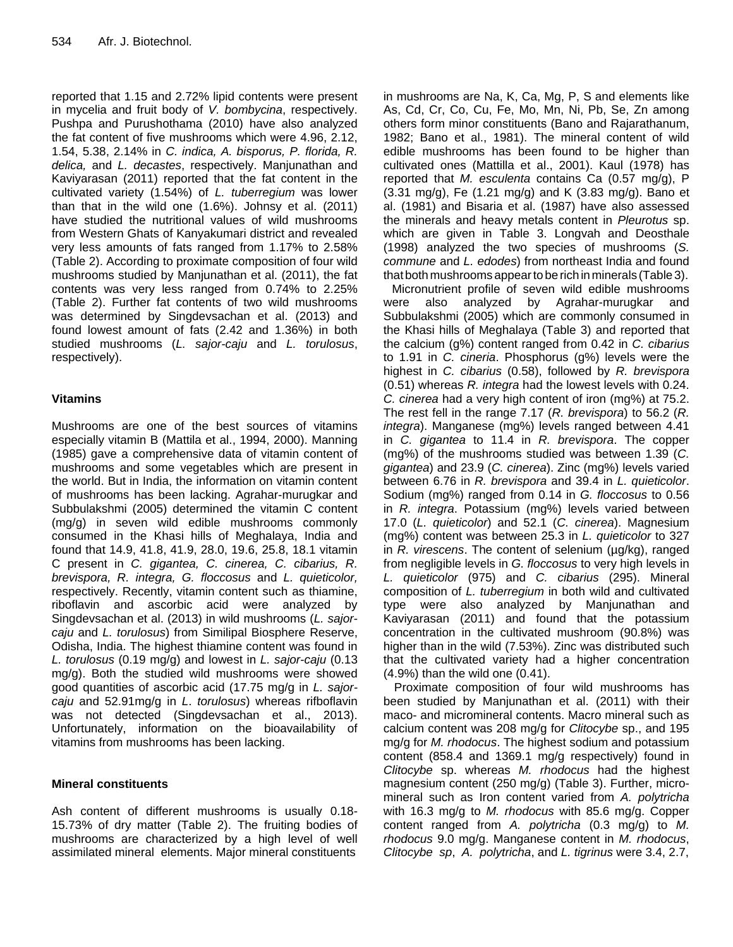reported that 1.15 and 2.72% lipid contents were present in mycelia and fruit body of *V. bombycina*, respectively. Pushpa and Purushothama (2010) have also analyzed the fat content of five mushrooms which were 4.96, 2.12, 1.54, 5.38, 2.14% in *C. indica, A. bisporus, P. florida, R. delica,* and *L. decastes*, respectively. Manjunathan and Kaviyarasan (2011) reported that the fat content in the cultivated variety (1.54%) of *L. tuberregium* was lower than that in the wild one (1.6%). Johnsy et al. (2011) have studied the nutritional values of wild mushrooms from Western Ghats of Kanyakumari district and revealed very less amounts of fats ranged from 1.17% to 2.58% (Table 2). According to proximate composition of four wild mushrooms studied by Manjunathan et al. (2011), the fat contents was very less ranged from 0.74% to 2.25% (Table 2). Further fat contents of two wild mushrooms was determined by Singdevsachan et al. (2013) and found lowest amount of fats (2.42 and 1.36%) in both studied mushrooms (*L. sajor-caju* and *L. torulosus*, respectively).

## **Vitamins**

Mushrooms are one of the best sources of vitamins especially vitamin B (Mattila et al., 1994, 2000). Manning (1985) gave a comprehensive data of vitamin content of mushrooms and some vegetables which are present in the world. But in India, the information on vitamin content of mushrooms has been lacking. Agrahar-murugkar and Subbulakshmi (2005) determined the vitamin C content (mg/g) in seven wild edible mushrooms commonly consumed in the Khasi hills of Meghalaya, India and found that 14.9, 41.8, 41.9, 28.0, 19.6, 25.8, 18.1 vitamin C present in *C. gigantea, C. cinerea, C. cibarius, R. brevispora, R. integra, G. floccosus* and *L. quieticolor,*  respectively. Recently, vitamin content such as thiamine, riboflavin and ascorbic acid were analyzed by Singdevsachan et al. (2013) in wild mushrooms (*L. sajorcaju* and *L. torulosus*) from Similipal Biosphere Reserve, Odisha, India. The highest thiamine content was found in *L. torulosus* (0.19 mg/g) and lowest in *L. sajor-caju* (0.13 mg/g). Both the studied wild mushrooms were showed good quantities of ascorbic acid (17.75 mg/g in *L. sajorcaju* and 52.91mg/g in *L*. *torulosus*) whereas rifboflavin was not detected (Singdevsachan et al., 2013). Unfortunately, information on the bioavailability of vitamins from mushrooms has been lacking.

## **Mineral constituents**

Ash content of different mushrooms is usually 0.18- 15.73% of dry matter (Table 2). The fruiting bodies of mushrooms are characterized by a high level of well assimilated mineral elements. Major mineral constituents

in mushrooms are Na, K, Ca, Mg, P, S and elements like As, Cd, Cr, Co, Cu, Fe, Mo, Mn, Ni, Pb, Se, Zn among others form minor constituents (Bano and Rajarathanum, 1982; Bano et al., 1981). The mineral content of wild edible mushrooms has been found to be higher than cultivated ones (Mattilla et al., 2001). Kaul (1978) has reported that *M. esculenta* contains Ca (0.57 mg/g), P  $(3.31 \text{ mg/g})$ , Fe  $(1.21 \text{ mg/g})$  and K  $(3.83 \text{ mg/g})$ . Bano et al. (1981) and Bisaria et al. (1987) have also assessed the minerals and heavy metals content in *Pleurotus* sp. which are given in Table 3. Longvah and Deosthale (1998) analyzed the two species of mushrooms (*S. commune* and *L. edodes*) from northeast India and found that both mushrooms appear to be rich in minerals (Table 3).

Micronutrient profile of seven wild edible mushrooms were also analyzed by Agrahar-murugkar and Subbulakshmi (2005) which are commonly consumed in the Khasi hills of Meghalaya (Table 3) and reported that the calcium (g%) content ranged from 0.42 in *C. cibarius* to 1.91 in *C. cineria*. Phosphorus (g%) levels were the highest in *C. cibarius* (0.58), followed by *R. brevispora* (0.51) whereas *R. integra* had the lowest levels with 0.24. *C. cinerea* had a very high content of iron (mg%) at 75.2. The rest fell in the range 7.17 (*R. brevispora*) to 56.2 (*R. integra*). Manganese (mg%) levels ranged between 4.41 in *C. gigantea* to 11.4 in *R. brevispora*. The copper (mg%) of the mushrooms studied was between 1.39 (*C. gigantea*) and 23.9 (*C. cinerea*). Zinc (mg%) levels varied between 6.76 in *R. brevispora* and 39.4 in *L. quieticolor*. Sodium (mg%) ranged from 0.14 in *G. floccosus* to 0.56 in *R. integra*. Potassium (mg%) levels varied between 17.0 (*L. quieticolor*) and 52.1 (*C. cinerea*). Magnesium (mg%) content was between 25.3 in *L. quieticolor* to 327 in *R. virescens*. The content of selenium (µg/kg), ranged from negligible levels in *G. floccosus* to very high levels in *L. quieticolor* (975) and *C. cibarius* (295). Mineral composition of *L. tuberregium* in both wild and cultivated type were also analyzed by Manjunathan and Kaviyarasan (2011) and found that the potassium concentration in the cultivated mushroom (90.8%) was higher than in the wild (7.53%). Zinc was distributed such that the cultivated variety had a higher concentration (4.9%) than the wild one (0.41).

Proximate composition of four wild mushrooms has been studied by Manjunathan et al. (2011) with their maco- and micromineral contents. Macro mineral such as calcium content was 208 mg/g for *Clitocybe* sp., and 195 mg/g for *M. rhodocus*. The highest sodium and potassium content (858.4 and 1369.1 mg/g respectively) found in *Clitocybe* sp. whereas *M. rhodocus* had the highest magnesium content (250 mg/g) (Table 3). Further, micromineral such as Iron content varied from *A. polytricha*  with 16.3 mg/g to *M. rhodocus* with 85.6 mg/g. Copper content ranged from *A. polytricha* (0.3 mg/g) to *M. rhodocus* 9.0 mg/g. Manganese content in *M. rhodocus*, *Clitocybe sp*, *A. polytricha*, and *L. tigrinus* were 3.4, 2.7,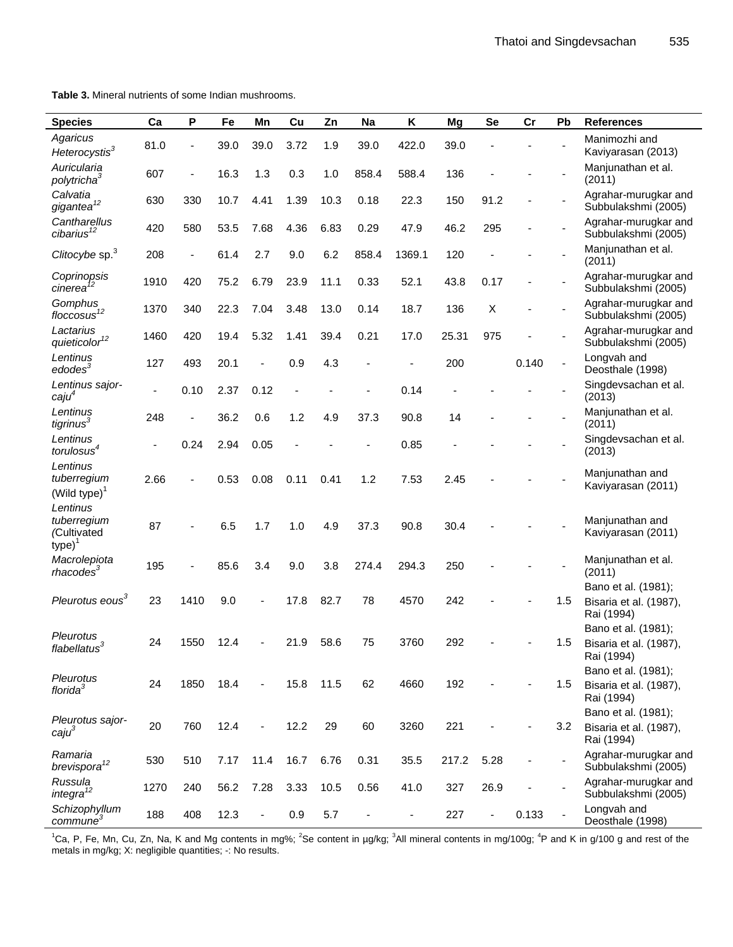**Table 3.** Mineral nutrients of some Indian mushrooms.

| <b>Species</b>                                      | Ca                       | P              | Fe   | Mn   | Cu   | Zn   | Na    | Κ      | Mg    | <b>Se</b>                | cr    | Pb  | <b>References</b>                             |
|-----------------------------------------------------|--------------------------|----------------|------|------|------|------|-------|--------|-------|--------------------------|-------|-----|-----------------------------------------------|
| Agaricus                                            | 81.0                     |                | 39.0 | 39.0 | 3.72 | 1.9  | 39.0  | 422.0  | 39.0  |                          |       |     | Manimozhi and                                 |
| Heterocystis <sup>3</sup>                           |                          |                |      |      |      |      |       |        |       |                          |       |     | Kaviyarasan (2013)                            |
| Auricularia<br>polytricha <sup>3</sup>              | 607                      |                | 16.3 | 1.3  | 0.3  | 1.0  | 858.4 | 588.4  | 136   |                          |       |     | Manjunathan et al.<br>(2011)                  |
| Calvatia<br>$g$ igantea $12$                        | 630                      | 330            | 10.7 | 4.41 | 1.39 | 10.3 | 0.18  | 22.3   | 150   | 91.2                     |       |     | Agrahar-murugkar and<br>Subbulakshmi (2005)   |
| Cantharellus<br>$cibarius$ <sup>12</sup>            | 420                      | 580            | 53.5 | 7.68 | 4.36 | 6.83 | 0.29  | 47.9   | 46.2  | 295                      |       |     | Agrahar-murugkar and<br>Subbulakshmi (2005)   |
| Clitocybe sp. <sup>3</sup>                          | 208                      | $\blacksquare$ | 61.4 | 2.7  | 9.0  | 6.2  | 858.4 | 1369.1 | 120   |                          |       |     | Manjunathan et al.<br>(2011)                  |
| Coprinopsis<br>cinerea                              | 1910                     | 420            | 75.2 | 6.79 | 23.9 | 11.1 | 0.33  | 52.1   | 43.8  | 0.17                     |       |     | Agrahar-murugkar and<br>Subbulakshmi (2005)   |
| Gomphus<br>floccosus <sup>12</sup>                  | 1370                     | 340            | 22.3 | 7.04 | 3.48 | 13.0 | 0.14  | 18.7   | 136   | X                        |       |     | Agrahar-murugkar and<br>Subbulakshmi (2005)   |
| Lactarius<br>quieticolor <sup>12</sup>              | 1460                     | 420            | 19.4 | 5.32 | 1.41 | 39.4 | 0.21  | 17.0   | 25.31 | 975                      |       |     | Agrahar-murugkar and<br>Subbulakshmi (2005)   |
| Lentinus<br>edodes <sup>3</sup>                     | 127                      | 493            | 20.1 |      | 0.9  | 4.3  |       |        | 200   |                          | 0.140 |     | Longvah and<br>Deosthale (1998)               |
| Lentinus sajor-<br>caju <sup>4</sup>                | $\overline{\phantom{a}}$ | 0.10           | 2.37 | 0.12 |      |      |       | 0.14   |       |                          |       |     | Singdevsachan et al.<br>(2013)                |
| Lentinus<br>tigrinus <sup>3</sup>                   | 248                      |                | 36.2 | 0.6  | 1.2  | 4.9  | 37.3  | 90.8   | 14    |                          |       |     | Manjunathan et al.<br>(2011)                  |
| Lentinus<br>torulosus <sup>4</sup>                  |                          | 0.24           | 2.94 | 0.05 |      |      |       | 0.85   |       |                          |       |     | Singdevsachan et al.<br>(2013)                |
| Lentinus<br>tuberregium<br>$(Wild type)^{1}$        | 2.66                     |                | 0.53 | 0.08 | 0.11 | 0.41 | 1.2   | 7.53   | 2.45  |                          |       |     | Manjunathan and<br>Kaviyarasan (2011)         |
| Lentinus<br>tuberregium<br>(Cultivated<br>$type)^1$ | 87                       |                | 6.5  | 1.7  | 1.0  | 4.9  | 37.3  | 90.8   | 30.4  |                          |       |     | Manjunathan and<br>Kaviyarasan (2011)         |
| Macrolepiota<br>rhacodes <sup>3</sup>               | 195                      |                | 85.6 | 3.4  | 9.0  | 3.8  | 274.4 | 294.3  | 250   |                          |       |     | Manjunathan et al.<br>(2011)                  |
| Pleurotus eous <sup>3</sup>                         | 23                       | 1410           | 9.0  |      | 17.8 | 82.7 | 78    | 4570   | 242   |                          |       | 1.5 | Bano et al. (1981);<br>Bisaria et al. (1987), |
|                                                     |                          |                |      |      |      |      |       |        |       |                          |       |     | Rai (1994)<br>Bano et al. (1981);             |
| Pleurotus<br>flabellatus <sup>3</sup>               | 24                       | 1550           | 12.4 |      | 21.9 | 58.6 | 75    | 3760   | 292   |                          |       | 1.5 | Bisaria et al. (1987),<br>Rai (1994)          |
| Pleurotus                                           |                          |                |      |      |      |      |       |        |       |                          |       |     | Bano et al. (1981);                           |
| florida <sup>3</sup>                                | 24                       | 1850           | 18.4 |      | 15.8 | 11.5 | 62    | 4660   | 192   |                          |       | 1.5 | Bisaria et al. (1987),<br>Rai (1994)          |
| Pleurotus sajor-                                    |                          |                |      |      |      |      |       |        |       |                          |       |     | Bano et al. (1981);                           |
| caju <sup>3</sup>                                   | 20                       | 760            | 12.4 |      | 12.2 | 29   | 60    | 3260   | 221   |                          |       | 3.2 | Bisaria et al. (1987),<br>Rai (1994)          |
| Ramaria<br>brevispora <sup>12</sup>                 | 530                      | 510            | 7.17 | 11.4 | 16.7 | 6.76 | 0.31  | 35.5   | 217.2 | 5.28                     |       |     | Agrahar-murugkar and<br>Subbulakshmi (2005)   |
| Russula<br>integra <sup>12</sup>                    | 1270                     | 240            | 56.2 | 7.28 | 3.33 | 10.5 | 0.56  | 41.0   | 327   | 26.9                     |       |     | Agrahar-murugkar and<br>Subbulakshmi (2005)   |
| Schizophyllum<br>commune <sup>3</sup>               | 188                      | 408            | 12.3 |      | 0.9  | 5.7  |       |        | 227   | $\overline{\phantom{a}}$ | 0.133 |     | Longvah and<br>Deosthale (1998)               |

<sup>1</sup>Ca, P, Fe, Mn, Cu, Zn, Na, K and Mg contents in mg%; <sup>2</sup>Se content in µg/kg; <sup>3</sup>All mineral contents in mg/100g; <sup>4</sup>P and K in g/100 g and rest of the metals in mg/kg; X: negligible quantities; -: No results.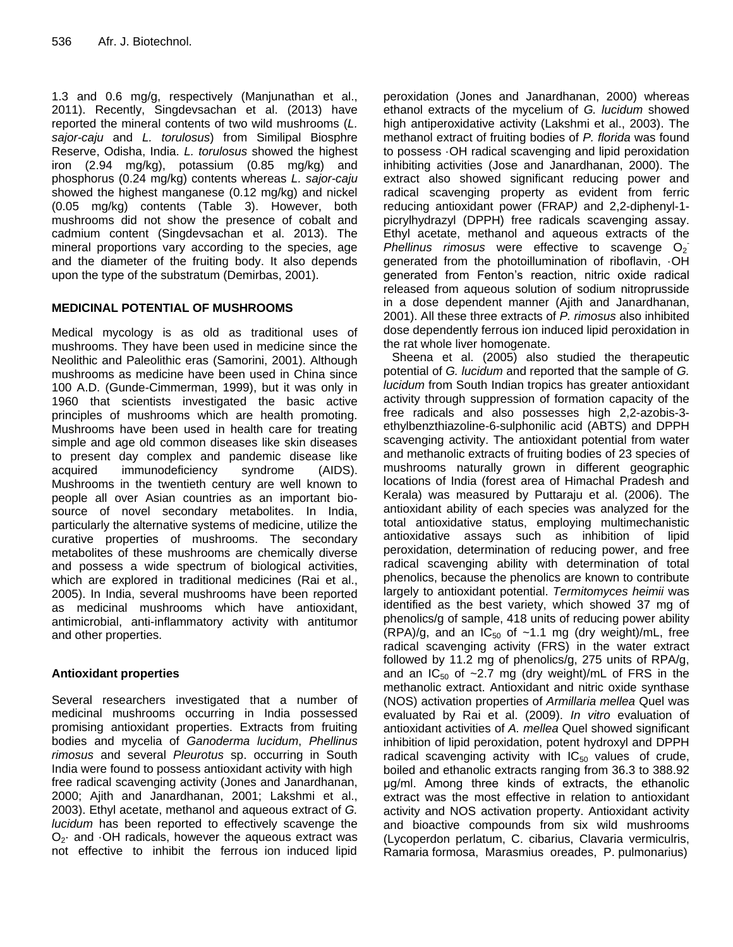1.3 and 0.6 mg/g, respectively (Manjunathan et al., 2011). Recently, Singdevsachan et al. (2013) have reported the mineral contents of two wild mushrooms (*L. sajor-caju* and *L. torulosus*) from Similipal Biosphre Reserve, Odisha, India. *L. torulosus* showed the highest iron (2.94 mg/kg), potassium (0.85 mg/kg) and phosphorus (0.24 mg/kg) contents whereas *L. sajor-caju* showed the highest manganese (0.12 mg/kg) and nickel (0.05 mg/kg) contents (Table 3). However, both mushrooms did not show the presence of cobalt and cadmium content (Singdevsachan et al. 2013). The mineral proportions vary according to the species, age and the diameter of the fruiting body. It also depends upon the type of the substratum (Demirbas, 2001).

## **MEDICINAL POTENTIAL OF MUSHROOMS**

Medical mycology is as old as traditional uses of mushrooms. They have been used in medicine since the Neolithic and Paleolithic eras (Samorini, 2001). Although mushrooms as medicine have been used in China since 100 A.D. (Gunde-Cimmerman, 1999), but it was only in 1960 that scientists investigated the basic active principles of mushrooms which are health promoting. Mushrooms have been used in health care for treating simple and age old common diseases like skin diseases to present day complex and pandemic disease like acquired immunodeficiency syndrome (AIDS). Mushrooms in the twentieth century are well known to people all over Asian countries as an important biosource of novel secondary metabolites. In India, particularly the alternative systems of medicine, utilize the curative properties of mushrooms. The secondary metabolites of these mushrooms are chemically diverse and possess a wide spectrum of biological activities, which are explored in traditional medicines (Rai et al., 2005). In India, several mushrooms have been reported as medicinal mushrooms which have antioxidant, antimicrobial, anti-inflammatory activity with antitumor and other properties.

## **Antioxidant properties**

Several researchers investigated that a number of medicinal mushrooms occurring in India possessed promising antioxidant properties. Extracts from fruiting bodies and mycelia of *Ganoderma lucidum*, *Phellinus rimosus* and several *Pleurotus* sp. occurring in South India were found to possess antioxidant activity with high free radical scavenging activity (Jones and Janardhanan, 2000; Ajith and Janardhanan, 2001; Lakshmi et al., 2003). Ethyl acetate, methanol and aqueous extract of *G. lucidum* has been reported to effectively scavenge the  $O<sub>2</sub>$  and  $O<sub>1</sub>$  radicals, however the aqueous extract was not effective to inhibit the ferrous ion induced lipid peroxidation (Jones and Janardhanan, 2000) whereas ethanol extracts of the mycelium of *G. lucidum* showed high antiperoxidative activity (Lakshmi et al., 2003). The methanol extract of fruiting bodies of *P. florida* was found to possess ·OH radical scavenging and lipid peroxidation inhibiting activities (Jose and Janardhanan, 2000). The extract also showed significant reducing power and radical scavenging property as evident from ferric reducing antioxidant power (FRAP*)* and 2,2-diphenyl-1 picrylhydrazyl (DPPH) free radicals scavenging assay. Ethyl acetate, methanol and aqueous extracts of the Phellinus rimosus were effective to scavenge O<sub>2</sub> generated from the photoillumination of riboflavin, ·OH generated from Fenton's reaction, nitric oxide radical released from aqueous solution of sodium nitroprusside in a dose dependent manner (Ajith and Janardhanan, 2001). All these three extracts of *P. rimosus* also inhibited dose dependently ferrous ion induced lipid peroxidation in the rat whole liver homogenate.

Sheena et al. (2005) also studied the therapeutic potential of *G. lucidum* and reported that the sample of *G. lucidum* from South Indian tropics has greater antioxidant activity through suppression of formation capacity of the free radicals and also possesses high 2,2-azobis-3 ethylbenzthiazoline-6-sulphonilic acid (ABTS) and DPPH scavenging activity. The antioxidant potential from water and methanolic extracts of fruiting bodies of 23 species of mushrooms naturally grown in different geographic locations of India (forest area of Himachal Pradesh and Kerala) was measured by Puttaraju et al. (2006). The antioxidant ability of each species was analyzed for the total antioxidative status, employing multimechanistic antioxidative assays such as inhibition of lipid peroxidation, determination of reducing power, and free radical scavenging ability with determination of total phenolics, because the phenolics are known to contribute largely to antioxidant potential. *Termitomyces heimii* was identified as the best variety, which showed 37 mg of phenolics/g of sample, 418 units of reducing power ability (RPA)/g, and an  $IC_{50}$  of ~1.1 mg (dry weight)/mL, free radical scavenging activity (FRS) in the water extract followed by 11.2 mg of phenolics/g, 275 units of RPA/g, and an  $IC_{50}$  of ~2.7 mg (dry weight)/mL of FRS in the methanolic extract. Antioxidant and nitric oxide synthase (NOS) activation properties of *Armillaria mellea* Quel was evaluated by Rai et al. (2009). *In vitro* evaluation of antioxidant activities of *A. mellea* Quel showed significant inhibition of lipid peroxidation, potent hydroxyl and DPPH radical scavenging activity with  $IC_{50}$  values of crude, boiled and ethanolic extracts ranging from 36.3 to 388.92 μg/ml. Among three kinds of extracts, the ethanolic extract was the most effective in relation to antioxidant activity and NOS activation property. Antioxidant activity and bioactive compounds from six wild mushrooms (Lycoperdon perlatum, C. cibarius, Clavaria vermiculris, Ramaria formosa, Marasmius oreades, P. pulmonarius)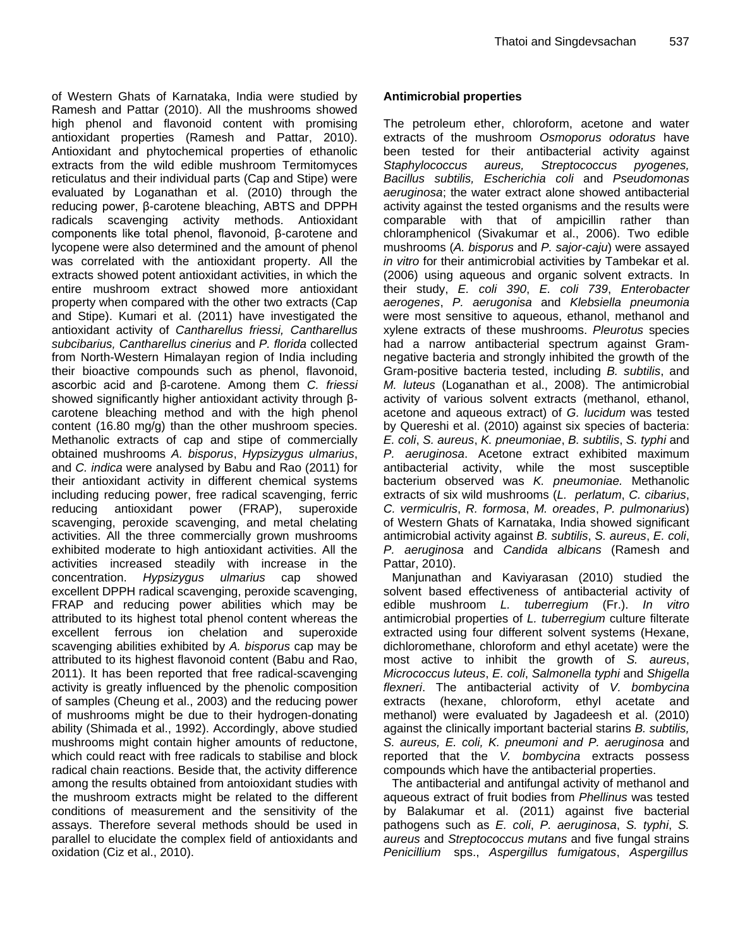of Western Ghats of Karnataka, India were studied by Ramesh and Pattar (2010). All the mushrooms showed high phenol and flavonoid content with promising antioxidant properties (Ramesh and Pattar, 2010). Antioxidant and phytochemical properties of ethanolic extracts from the wild edible mushroom Termitomyces reticulatus and their individual parts (Cap and Stipe) were evaluated by Loganathan et al. (2010) through the reducing power, β-carotene bleaching, ABTS and DPPH radicals scavenging activity methods. Antioxidant components like total phenol, flavonoid, β-carotene and lycopene were also determined and the amount of phenol was correlated with the antioxidant property. All the extracts showed potent antioxidant activities, in which the entire mushroom extract showed more antioxidant property when compared with the other two extracts (Cap and Stipe). Kumari et al. (2011) have investigated the antioxidant activity of *Cantharellus friessi, Cantharellus subcibarius, Cantharellus cinerius* and *P. florida* collected from North-Western Himalayan region of India including their bioactive compounds such as phenol, flavonoid, ascorbic acid and β-carotene. Among them *C. friessi*  showed significantly higher antioxidant activity through βcarotene bleaching method and with the high phenol content (16.80 mg/g) than the other mushroom species. Methanolic extracts of cap and stipe of commercially obtained mushrooms *A. bisporus*, *Hypsizygus ulmarius*, and *C. indica* were analysed by Babu and Rao (2011) for their antioxidant activity in different chemical systems including reducing power, free radical scavenging, ferric reducing antioxidant power (FRAP), superoxide scavenging, peroxide scavenging, and metal chelating activities. All the three commercially grown mushrooms exhibited moderate to high antioxidant activities. All the activities increased steadily with increase in the concentration. *Hypsizygus ulmarius* cap showed excellent DPPH radical scavenging, peroxide scavenging, FRAP and reducing power abilities which may be attributed to its highest total phenol content whereas the excellent ferrous ion chelation and superoxide scavenging abilities exhibited by *A. bisporus* cap may be attributed to its highest flavonoid content (Babu and Rao, 2011). It has been reported that free radical-scavenging activity is greatly influenced by the phenolic composition of samples (Cheung et al., 2003) and the reducing power of mushrooms might be due to their hydrogen-donating ability (Shimada et al., 1992). Accordingly, above studied mushrooms might contain higher amounts of reductone, which could react with free radicals to stabilise and block radical chain reactions. Beside that, the activity difference among the results obtained from antoioxidant studies with the mushroom extracts might be related to the different conditions of measurement and the sensitivity of the assays. Therefore several methods should be used in parallel to elucidate the complex field of antioxidants and oxidation (Ciz et al., 2010).

## **Antimicrobial properties**

The petroleum ether, chloroform, acetone and water extracts of the mushroom *Osmoporus odoratus* have been tested for their antibacterial activity against<br>Staphylococcus aureus, Streptococcus pyogenes, Staphylococcus aureus, *Bacillus subtilis, Escherichia coli* and *Pseudomonas aeruginosa*; the water extract alone showed antibacterial activity against the tested organisms and the results were comparable with that of ampicillin rather than chloramphenicol (Sivakumar et al., 2006). Two edible mushrooms (*A. bisporus* and *P. sajor-caju*) were assayed *in vitro* for their antimicrobial activities by Tambekar et al. (2006) using aqueous and organic solvent extracts. In their study, *E. coli 390*, *E. coli 739*, *Enterobacter aerogenes*, *P. aerugonisa* and *Klebsiella pneumonia* were most sensitive to aqueous, ethanol, methanol and xylene extracts of these mushrooms. *Pleurotus* species had a narrow antibacterial spectrum against Gramnegative bacteria and strongly inhibited the growth of the Gram-positive bacteria tested, including *B. subtilis*, and *M. luteus* (Loganathan et al., 2008). The antimicrobial activity of various solvent extracts (methanol, ethanol, acetone and aqueous extract) of *G. lucidum* was tested by Quereshi et al. (2010) against six species of bacteria: *E. coli*, *S. aureus*, *K. pneumoniae*, *B. subtilis*, *S. typhi* and *P. aeruginosa*. Acetone extract exhibited maximum antibacterial activity, while the most susceptible bacterium observed was *K. pneumoniae.* Methanolic extracts of six wild mushrooms (*L. perlatum*, *C. cibarius*, *C. vermiculris*, *R. formosa*, *M. oreades*, *P. pulmonarius*) of Western Ghats of Karnataka, India showed significant antimicrobial activity against *B. subtilis*, *S. aureus*, *E. coli*, *P. aeruginosa* and *Candida albicans* (Ramesh and Pattar, 2010).

Manjunathan and Kaviyarasan (2010) studied the solvent based effectiveness of antibacterial activity of edible mushroom *L. tuberregium* (Fr.). *In vitro*  antimicrobial properties of *L. tuberregium* culture filterate extracted using four different solvent systems (Hexane, dichloromethane, chloroform and ethyl acetate) were the most active to inhibit the growth of *S. aureus*, *Micrococcus luteus*, *E. coli*, *Salmonella typhi* and *Shigella flexneri*. The antibacterial activity of *V. bombycina* extracts (hexane, chloroform, ethyl acetate and methanol) were evaluated by Jagadeesh et al. (2010) against the clinically important bacterial starins *B. subtilis, S. aureus, E. coli, K. pneumoni and P. aeruginosa* and reported that the *V. bombycina* extracts possess compounds which have the antibacterial properties.

The antibacterial and antifungal activity of methanol and aqueous extract of fruit bodies from *Phellinus* was tested by Balakumar et al. (2011) against five bacterial pathogens such as *E. coli*, *P. aeruginosa*, *S. typhi*, *S. aureus* and *Streptococcus mutans* and five fungal strains *Penicillium* sps., *Aspergillus fumigatous*, *Aspergillus*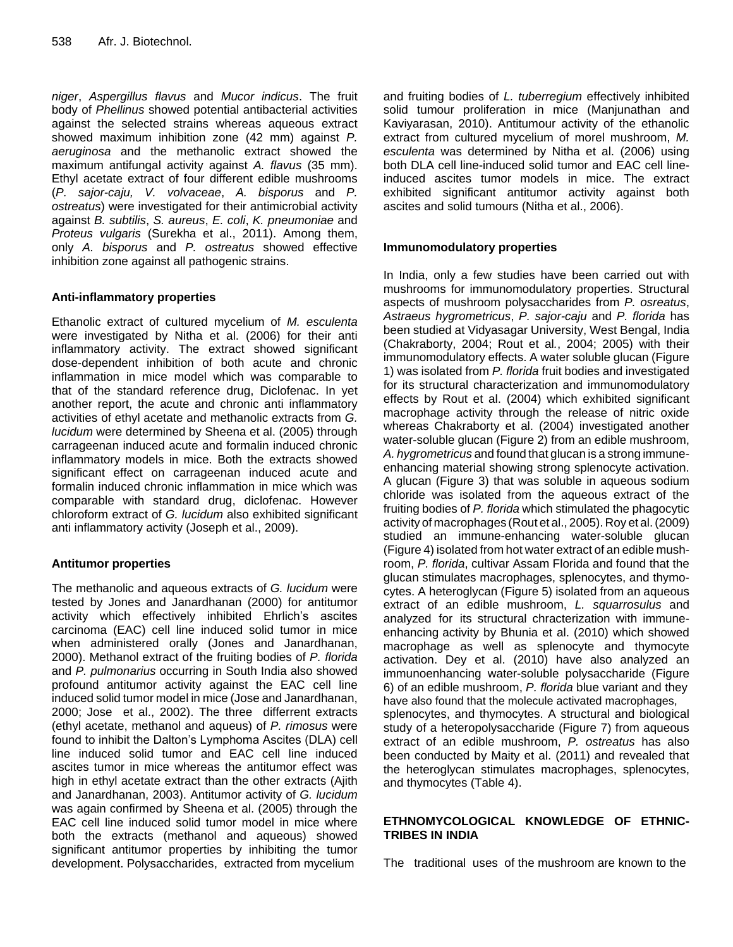*niger*, *Aspergillus flavus* and *Mucor indicus*. The fruit body of *Phellinus* showed potential antibacterial activities against the selected strains whereas aqueous extract showed maximum inhibition zone (42 mm) against *P. aeruginosa* and the methanolic extract showed the maximum antifungal activity against *A. flavus* (35 mm). Ethyl acetate extract of four different edible mushrooms (*P. sajor-caju, V. volvaceae*, *A. bisporus* and *P. ostreatus*) were investigated for their antimicrobial activity against *B. subtilis*, *S. aureus*, *E. coli*, *K. pneumoniae* and *Proteus vulgaris* (Surekha et al., 2011). Among them, only *A. bisporus* and *P. ostreatus* showed effective inhibition zone against all pathogenic strains.

## **Anti-inflammatory properties**

Ethanolic extract of cultured mycelium of *M. esculenta*  were investigated by Nitha et al. (2006) for their anti inflammatory activity. The extract showed significant dose-dependent inhibition of both acute and chronic inflammation in mice model which was comparable to that of the standard reference drug, Diclofenac. In yet another report, the acute and chronic anti inflammatory activities of ethyl acetate and methanolic extracts from *G. lucidum* were determined by Sheena et al. (2005) through carrageenan induced acute and formalin induced chronic inflammatory models in mice. Both the extracts showed significant effect on carrageenan induced acute and formalin induced chronic inflammation in mice which was comparable with standard drug, diclofenac. However chloroform extract of *G. lucidum* also exhibited significant anti inflammatory activity (Joseph et al., 2009).

## **Antitumor properties**

The methanolic and aqueous extracts of *G. lucidum* were tested by Jones and Janardhanan (2000) for antitumor activity which effectively inhibited Ehrlich's ascites carcinoma (EAC) cell line induced solid tumor in mice when administered orally (Jones and Janardhanan, 2000). Methanol extract of the fruiting bodies of *P. florida* and *P. pulmonarius* occurring in South India also showed profound antitumor activity against the EAC cell line induced solid tumor model in mice (Jose and Janardhanan, 2000; Jose et al., 2002). The three differrent extracts (ethyl acetate, methanol and aqueus) of *P. rimosus* were found to inhibit the Dalton's Lymphoma Ascites (DLA) cell line induced solid tumor and EAC cell line induced ascites tumor in mice whereas the antitumor effect was high in ethyl acetate extract than the other extracts (Ajith and Janardhanan, 2003). Antitumor activity of *G. lucidum*  was again confirmed by Sheena et al. (2005) through the EAC cell line induced solid tumor model in mice where both the extracts (methanol and aqueous) showed significant antitumor properties by inhibiting the tumor development. Polysaccharides, extracted from mycelium

and fruiting bodies of *L. tuberregium* effectively inhibited solid tumour proliferation in mice (Manjunathan and Kaviyarasan, 2010). Antitumour activity of the ethanolic extract from cultured mycelium of morel mushroom, *M. esculenta* was determined by Nitha et al. (2006) using both DLA cell line-induced solid tumor and EAC cell lineinduced ascites tumor models in mice. The extract exhibited significant antitumor activity against both ascites and solid tumours (Nitha et al., 2006).

## **Immunomodulatory properties**

In India, only a few studies have been carried out with mushrooms for immunomodulatory properties. Structural aspects of mushroom polysaccharides from *P. osreatus*, *Astraeus hygrometricus*, *P. sajor-caju* and *P. florida* has been studied at Vidyasagar University, West Bengal, India (Chakraborty, 2004; Rout et al*.*, 2004; 2005) with their immunomodulatory effects. A water soluble glucan (Figure 1) was isolated from *P. florida* fruit bodies and investigated for its structural characterization and immunomodulatory effects by Rout et al. (2004) which exhibited significant macrophage activity through the release of nitric oxide whereas Chakraborty et al. (2004) investigated another water-soluble glucan (Figure 2) from an edible mushroom, *A. hygrometricus* and found that glucan is a strong immuneenhancing material showing strong splenocyte activation. A glucan (Figure 3) that was soluble in aqueous sodium chloride was isolated from the aqueous extract of the fruiting bodies of *P. florida* which stimulated the phagocytic activity of macrophages (Rout et al., 2005). Roy et al.(2009) studied an immune-enhancing water-soluble glucan (Figure 4) isolated from hot water extract of an edible mushroom, *P. florida*, cultivar Assam Florida and found that the glucan stimulates macrophages, splenocytes, and thymocytes. A heteroglycan (Figure 5) isolated from an aqueous extract of an edible mushroom, *L. squarrosulus* and analyzed for its structural chracterization with immuneenhancing activity by Bhunia et al. (2010) which showed macrophage as well as splenocyte and thymocyte activation. Dey et al. (2010) have also analyzed an immunoenhancing water-soluble polysaccharide (Figure 6) of an edible mushroom, *P. florida* blue variant and they have also found that the molecule activated macrophages, splenocytes, and thymocytes. A structural and biological study of a heteropolysaccharide (Figure 7) from aqueous extract of an edible mushroom, *P. ostreatus* has also been conducted by Maity et al. (2011) and revealed that the heteroglycan stimulates macrophages, splenocytes, and thymocytes (Table 4).

## **ETHNOMYCOLOGICAL KNOWLEDGE OF ETHNIC-TRIBES IN INDIA**

The traditional uses of the mushroom are known to the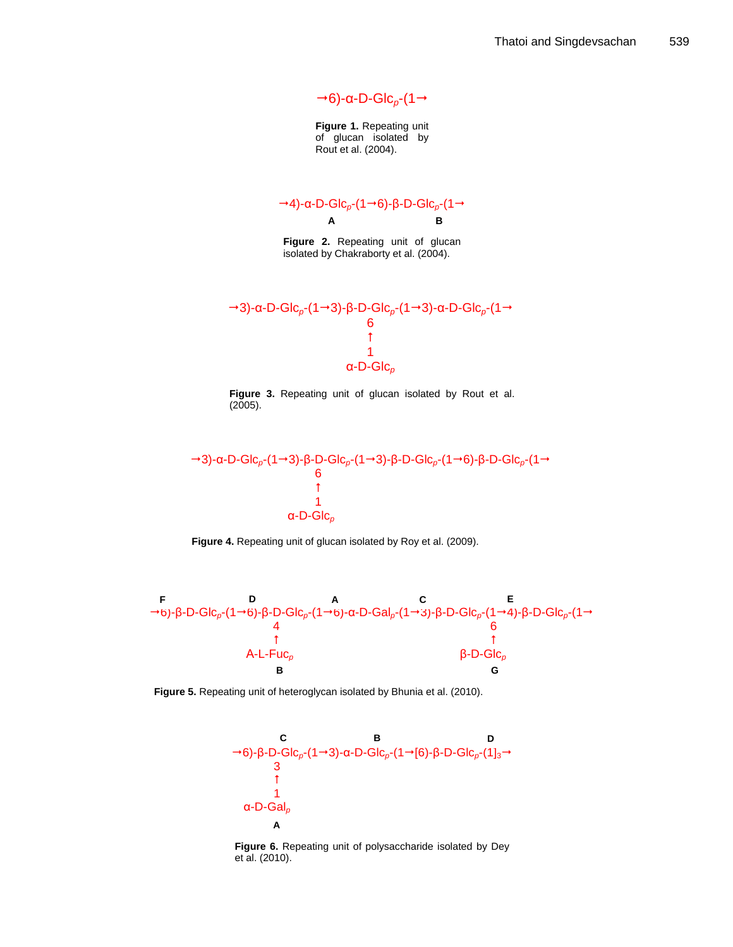$\rightarrow$  6)-α-D-Glc<sub>ρ</sub>-(1 →

**Figure 1.** Repeating unit of glucan isolated by Rout et al. (2004).

 $\rightarrow$ 4)-α-D-Glc<sub>ρ</sub>-(1→6)-β-D-Glc<sub>ρ</sub>-(1→ **A B**

**Figure 2.** Repeating unit of glucan isolated by Chakraborty et al. (2004).



**Figure 3.** Repeating unit of glucan isolated by Rout et al. (2005).







**Figure 5.** Repeating unit of heteroglycan isolated by Bhunia et al. (2010).



**Figure 6.** Repeating unit of polysaccharide isolated by Dey et al. (2010).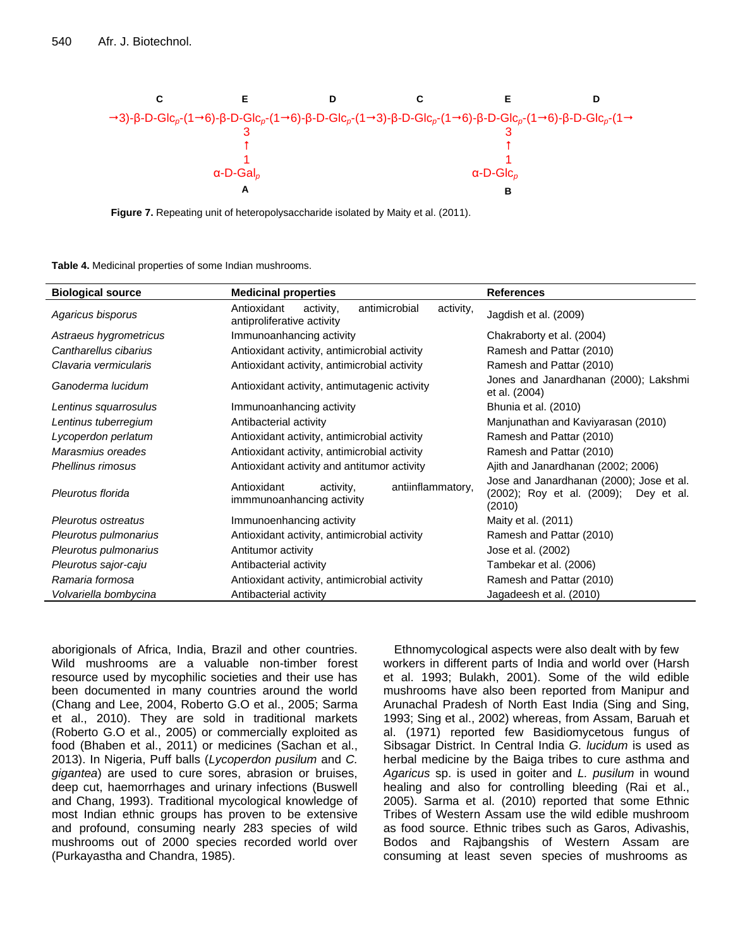

**Figure 7.** Repeating unit of heteropolysaccharide isolated by Maity et al. (2011).

**Table 4.** Medicinal properties of some Indian mushrooms.

| <b>Biological source</b> | <b>Medicinal properties</b>                                                          | <b>References</b>                                                                           |  |  |  |
|--------------------------|--------------------------------------------------------------------------------------|---------------------------------------------------------------------------------------------|--|--|--|
| Agaricus bisporus        | Antioxidant<br>antimicrobial<br>activity,<br>activity,<br>antiproliferative activity | Jagdish et al. (2009)                                                                       |  |  |  |
| Astraeus hygrometricus   | Immunoanhancing activity                                                             | Chakraborty et al. (2004)                                                                   |  |  |  |
| Cantharellus cibarius    | Antioxidant activity, antimicrobial activity                                         | Ramesh and Pattar (2010)                                                                    |  |  |  |
| Clavaria vermicularis    | Antioxidant activity, antimicrobial activity                                         | Ramesh and Pattar (2010)                                                                    |  |  |  |
| Ganoderma lucidum        | Antioxidant activity, antimutagenic activity                                         | Jones and Janardhanan (2000); Lakshmi<br>et al. (2004)                                      |  |  |  |
| Lentinus squarrosulus    | Immunoanhancing activity                                                             | Bhunia et al. (2010)                                                                        |  |  |  |
| Lentinus tuberregium     | Antibacterial activity                                                               | Manjunathan and Kaviyarasan (2010)                                                          |  |  |  |
| Lycoperdon perlatum      | Antioxidant activity, antimicrobial activity                                         | Ramesh and Pattar (2010)                                                                    |  |  |  |
| Marasmius oreades        | Antioxidant activity, antimicrobial activity                                         | Ramesh and Pattar (2010)                                                                    |  |  |  |
| Phellinus rimosus        | Antioxidant activity and antitumor activity                                          | Ajith and Janardhanan (2002; 2006)                                                          |  |  |  |
| Pleurotus florida        | antiinflammatory,<br>Antioxidant<br>activity,<br>immmunoanhancing activity           | Jose and Janardhanan (2000); Jose et al.<br>(2002); Roy et al. (2009); Dey et al.<br>(2010) |  |  |  |
| Pleurotus ostreatus      | Immunoenhancing activity                                                             | Maity et al. (2011)                                                                         |  |  |  |
| Pleurotus pulmonarius    | Antioxidant activity, antimicrobial activity                                         | Ramesh and Pattar (2010)                                                                    |  |  |  |
| Pleurotus pulmonarius    | Antitumor activity                                                                   | Jose et al. (2002)                                                                          |  |  |  |
| Pleurotus sajor-caju     | Antibacterial activity                                                               | Tambekar et al. (2006)                                                                      |  |  |  |
| Ramaria formosa          | Antioxidant activity, antimicrobial activity                                         | Ramesh and Pattar (2010)                                                                    |  |  |  |
| Volvariella bombycina    | Antibacterial activity                                                               | Jagadeesh et al. (2010)                                                                     |  |  |  |

aborigionals of Africa, India, Brazil and other countries. Wild mushrooms are a valuable non-timber forest resource used by mycophilic societies and their use has been documented in many countries around the world (Chang and Lee, 2004, Roberto G.O et al., 2005; Sarma et al., 2010). They are sold in traditional markets (Roberto G.O et al., 2005) or commercially exploited as food (Bhaben et al., 2011) or medicines (Sachan et al., 2013). In Nigeria, Puff balls (*Lycoperdon pusilum* and *C. gigantea*) are used to cure sores, abrasion or bruises, deep cut, haemorrhages and urinary infections (Buswell and Chang, 1993). Traditional mycological knowledge of most Indian ethnic groups has proven to be extensive and profound, consuming nearly 283 species of wild mushrooms out of 2000 species recorded world over (Purkayastha and Chandra, 1985).

Ethnomycological aspects were also dealt with by few workers in different parts of India and world over (Harsh et al. 1993; Bulakh, 2001). Some of the wild edible mushrooms have also been reported from Manipur and Arunachal Pradesh of North East India (Sing and Sing, 1993; Sing et al., 2002) whereas, from Assam, Baruah et al. (1971) reported few Basidiomycetous fungus of Sibsagar District. In Central India *G. lucidum* is used as herbal medicine by the Baiga tribes to cure asthma and *Agaricus* sp. is used in goiter and *L. pusilum* in wound healing and also for controlling bleeding (Rai et al., 2005). Sarma et al. (2010) reported that some Ethnic Tribes of Western Assam use the wild edible mushroom as food source. Ethnic tribes such as Garos, Adivashis, Bodos and Rajbangshis of Western Assam are consuming at least seven species of mushrooms as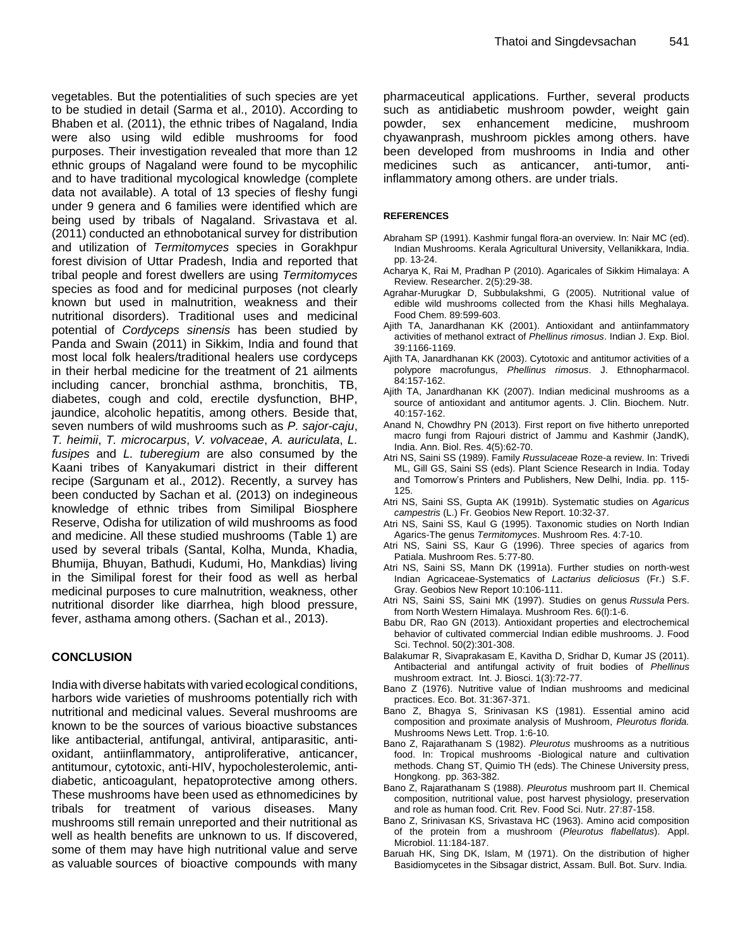vegetables. But the potentialities of such species are yet to be studied in detail (Sarma et al., 2010). According to Bhaben et al. (2011), the ethnic tribes of Nagaland, India were also using wild edible mushrooms for food purposes. Their investigation revealed that more than 12 ethnic groups of Nagaland were found to be mycophilic and to have traditional mycological knowledge (complete data not available). A total of 13 species of fleshy fungi under 9 genera and 6 families were identified which are being used by tribals of Nagaland. Srivastava et al. (2011) conducted an ethnobotanical survey for distribution and utilization of *Termitomyces* species in Gorakhpur forest division of Uttar Pradesh, India and reported that tribal people and forest dwellers are using *Termitomyces* species as food and for medicinal purposes (not clearly known but used in malnutrition, weakness and their nutritional disorders). Traditional uses and medicinal potential of *Cordyceps sinensis* has been studied by Panda and Swain (2011) in Sikkim, India and found that most local folk healers/traditional healers use cordyceps in their herbal medicine for the treatment of 21 ailments including cancer, bronchial asthma, bronchitis, TB, diabetes, cough and cold, erectile dysfunction, BHP, jaundice, alcoholic hepatitis, among others. Beside that, seven numbers of wild mushrooms such as *P. sajor-caju*, *T. heimii*, *T. microcarpus*, *V. volvaceae*, *A. auriculata*, *L. fusipes* and *L. tuberegium* are also consumed by the Kaani tribes of Kanyakumari district in their different recipe (Sargunam et al., 2012). Recently, a survey has been conducted by Sachan et al. (2013) on indegineous knowledge of ethnic tribes from Similipal Biosphere Reserve, Odisha for utilization of wild mushrooms as food and medicine. All these studied mushrooms (Table 1) are used by several tribals (Santal, Kolha, Munda, Khadia, Bhumija, Bhuyan, Bathudi, Kudumi, Ho, Mankdias) living in the Similipal forest for their food as well as herbal medicinal purposes to cure malnutrition, weakness, other nutritional disorder like diarrhea, high blood pressure, fever, asthama among others. (Sachan et al., 2013).

## **CONCLUSION**

India with diverse habitats with varied ecological conditions, harbors wide varieties of mushrooms potentially rich with nutritional and medicinal values. Several mushrooms are known to be the sources of various bioactive substances like antibacterial, antifungal, antiviral, antiparasitic, antioxidant, antiinflammatory, antiproliferative, anticancer, antitumour, cytotoxic, anti-HIV, hypocholesterolemic, antidiabetic, anticoagulant, hepatoprotective among others. These mushrooms have been used as ethnomedicines by tribals for treatment of various diseases. Many mushrooms still remain unreported and their nutritional as well as health benefits are unknown to us. If discovered, some of them may have high nutritional value and serve as valuable sources of bioactive compounds with many pharmaceutical applications. Further, several products such as antidiabetic mushroom powder, weight gain powder, sex enhancement medicine, mushroom chyawanprash, mushroom pickles among others. have been developed from mushrooms in India and other medicines such as anticancer, anti-tumor, antiinflammatory among others. are under trials.

#### **REFERENCES**

- Abraham SP (1991). Kashmir fungal flora-an overview. In: Nair MC (ed). Indian Mushrooms. Kerala Agricultural University, Vellanikkara, India. pp. 13-24.
- Acharya K, Rai M, Pradhan P (2010). Agaricales of Sikkim Himalaya: A Review. Researcher. 2(5):29-38.
- Agrahar-Murugkar D, Subbulakshmi, G (2005). Nutritional value of edible wild mushrooms collected from the Khasi hills Meghalaya. Food Chem. 89:599-603.
- Ajith TA, Janardhanan KK (2001). Antioxidant and antiinfammatory activities of methanol extract of *Phellinus rimosus*. Indian J. Exp. Biol. 39:1166-1169.
- Ajith TA, Janardhanan KK (2003). Cytotoxic and antitumor activities of a polypore macrofungus, *Phellinus rimosus*. J. Ethnopharmacol. 84:157-162.
- Ajith TA, Janardhanan KK (2007). Indian medicinal mushrooms as a source of antioxidant and antitumor agents. J. Clin. Biochem. Nutr. 40:157-162.
- Anand N, Chowdhry PN (2013). First report on five hitherto unreported macro fungi from Rajouri district of Jammu and Kashmir (JandK), India. Ann. Biol. Res. 4(5):62-70.
- Atri NS, Saini SS (1989). Family *Russulaceae* Roze-a review. In: Trivedi ML, Gill GS, Saini SS (eds). Plant Science Research in India. Today and Tomorrow's Printers and Publishers, New Delhi, India. pp. 115- 125.
- Atri NS, Saini SS, Gupta AK (1991b). Systematic studies on *Agaricus campestris* (L.) Fr. Geobios New Report. 10:32-37.
- Atri NS, Saini SS, Kaul G (1995). Taxonomic studies on North Indian Agarics-The genus *Termitomyces*. Mushroom Res. 4:7-10.
- Atri NS, Saini SS, Kaur G (1996). Three species of agarics from Patiala. Mushroom Res. 5:77-80.
- Atri NS, Saini SS, Mann DK (1991a). Further studies on north-west Indian Agricaceae-Systematics of *Lactarius deliciosus* (Fr.) S.F. Gray. Geobios New Report 10:106-111.
- Atri NS, Saini SS, Saini MK (1997). Studies on genus *Russula* Pers. from North Western Himalaya. Mushroom Res. 6(l):1-6.
- Babu DR, Rao GN (2013). Antioxidant properties and electrochemical behavior of cultivated commercial Indian edible mushrooms. J. Food Sci. Technol. 50(2):301-308.
- Balakumar R, Sivaprakasam E, Kavitha D, Sridhar D, Kumar JS (2011). Antibacterial and antifungal activity of fruit bodies of *Phellinus* mushroom extract. Int. J. Biosci. 1(3):72-77.
- Bano Z (1976). Nutritive value of Indian mushrooms and medicinal practices. Eco. Bot. 31:367-371.
- Bano Z, Bhagya S, Srinivasan KS (1981). Essential amino acid composition and proximate analysis of Mushroom, *Pleurotus florida.*  Mushrooms News Lett. Trop. 1:6-10*.*
- Bano Z, Rajarathanam S (1982). *Pleurotus* mushrooms as a nutritious food. In: Tropical mushrooms -Biological nature and cultivation methods. Chang ST, Quimio TH (eds). The Chinese University press, Hongkong. pp. 363-382.
- Bano Z, Rajarathanam S (1988). *Pleurotus* mushroom part II. Chemical composition, nutritional value, post harvest physiology, preservation and role as human food. Crit*.* Rev. Food Sci. Nutr. 27:87-158.
- Bano Z, Srinivasan KS, Srivastava HC (1963). Amino acid composition of the protein from a mushroom (*Pleurotus flabellatus*). Appl. Microbiol. 11:184-187.
- Baruah HK, Sing DK, Islam, M (1971). On the distribution of higher Basidiomycetes in the Sibsagar district, Assam. Bull. Bot. Surv. India.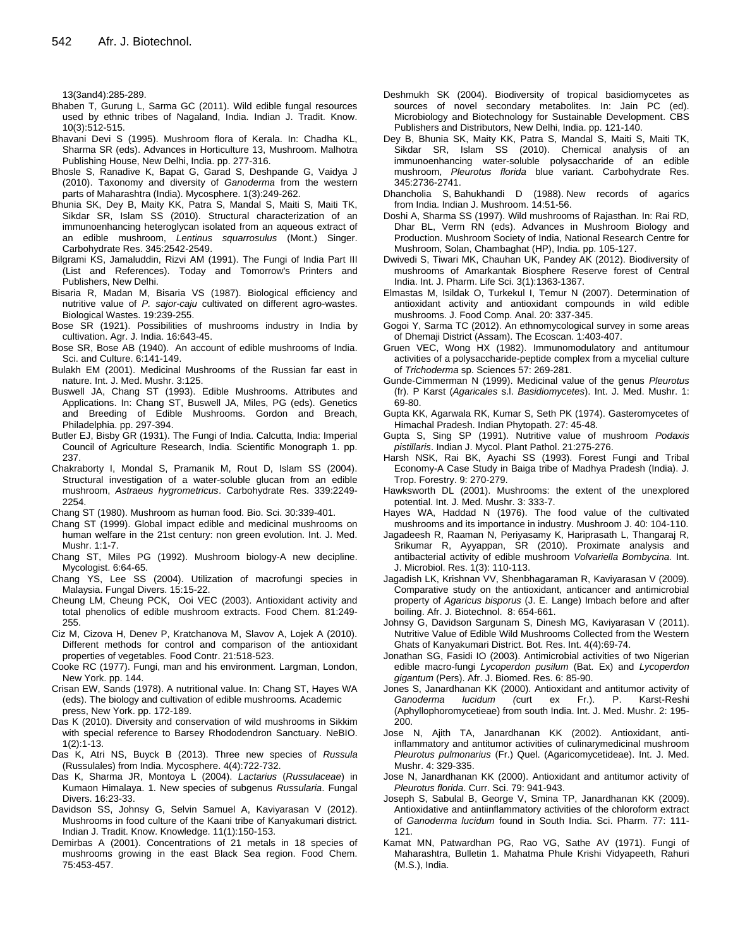13(3and4):285-289.

- Bhaben T, Gurung L, Sarma GC (2011). Wild edible fungal resources used by ethnic tribes of Nagaland, India. Indian J. Tradit. Know. 10(3):512-515.
- Bhavani Devi S (1995). Mushroom flora of Kerala. In: Chadha KL, Sharma SR (eds). Advances in Horticulture 13, Mushroom. Malhotra Publishing House, New Delhi, India. pp. 277-316.
- Bhosle S, Ranadive K, Bapat G, Garad S, Deshpande G, Vaidya J (2010). Taxonomy and diversity of *Ganoderma* from the western parts of Maharashtra (India). Mycosphere. 1(3):249-262.
- Bhunia SK, Dey B, Maity KK, Patra S, Mandal S, Maiti S, Maiti TK, Sikdar SR, Islam SS (2010). Structural characterization of an immunoenhancing heteroglycan isolated from an aqueous extract of an edible mushroom, *Lentinus squarrosulus* (Mont.) Singer. Carbohydrate Res. 345:2542-2549.
- Bilgrami KS, Jamaluddin, Rizvi AM (1991). The Fungi of India Part III (List and References). Today and Tomorrow's Printers and Publishers, New Delhi.
- Bisaria R, Madan M, Bisaria VS (1987). Biological efficiency and nutritive value of *P. sajor-caju* cultivated on different agro-wastes. Biological Wastes. 19:239-255.
- Bose SR (1921). Possibilities of mushrooms industry in India by cultivation. Agr. J. India. 16:643-45.
- Bose SR, Bose AB (1940). An account of edible mushrooms of India. Sci. and Culture. 6:141-149.
- Bulakh EM (2001). Medicinal Mushrooms of the Russian far east in nature. Int. J. Med. Mushr. 3:125.
- Buswell JA, Chang ST (1993). Edible Mushrooms. Attributes and Applications. In: Chang ST, Buswell JA, Miles, PG (eds). Genetics and Breeding of Edible Mushrooms. Gordon and Breach, Philadelphia. pp. 297-394.
- Butler EJ, Bisby GR (1931). The Fungi of India. Calcutta, India: Imperial Council of Agriculture Research, India. Scientific Monograph 1. pp. 237.
- Chakraborty I, Mondal S, Pramanik M, Rout D, Islam SS (2004). Structural investigation of a water-soluble glucan from an edible mushroom, *Astraeus hygrometricus*. Carbohydrate Res. 339:2249- 2254.
- Chang ST (1980). Mushroom as human food. Bio. Sci. 30:339-401.
- Chang ST (1999). Global impact edible and medicinal mushrooms on human welfare in the 21st century: non green evolution. Int. J. Med. Mushr. 1:1-7.
- Chang ST, Miles PG (1992). Mushroom biology-A new decipline. Mycologist. 6:64-65.
- Chang YS, Lee SS (2004). Utilization of macrofungi species in Malaysia. Fungal Divers. 15:15-22.
- Cheung LM, Cheung PCK, Ooi VEC (2003). Antioxidant activity and total phenolics of edible mushroom extracts. Food Chem. 81:249- 255.
- Ciz M, Cizova H, Denev P, Kratchanova M, Slavov A, Lojek A (2010). Different methods for control and comparison of the antioxidant properties of vegetables. Food Contr. 21:518-523.
- Cooke RC (1977). Fungi, man and his environment. Largman, London, New York. pp. 144.
- Crisan EW, Sands (1978). A nutritional value. In: Chang ST, Hayes WA (eds). The biology and cultivation of edible mushrooms*.* Academic press, New York. pp. 172-189.
- Das K (2010). Diversity and conservation of wild mushrooms in Sikkim with special reference to Barsey Rhododendron Sanctuary. NeBIO. 1(2):1-13.
- Das K, Atri NS, Buyck B (2013). Three new species of *Russula*  (Russulales) from India. Mycosphere. 4(4):722-732.
- Das K, Sharma JR, Montoya L (2004). *Lactarius* (*Russulaceae*) in Kumaon Himalaya. 1. New species of subgenus *Russularia*. Fungal Divers. 16:23-33.
- Davidson SS, Johnsy G, Selvin Samuel A, Kaviyarasan V (2012). Mushrooms in food culture of the Kaani tribe of Kanyakumari district. Indian J. Tradit. Know. Knowledge. 11(1):150-153.
- Demirbas A (2001). Concentrations of 21 metals in 18 species of mushrooms growing in the east Black Sea region. Food Chem. 75:453-457.
- Deshmukh SK (2004). Biodiversity of tropical basidiomycetes as sources of novel secondary metabolites. In: Jain PC (ed). Microbiology and Biotechnology for Sustainable Development. CBS Publishers and Distributors, New Delhi, India. pp. 121-140.
- Dey B, Bhunia SK, Maity KK, Patra S, Mandal S, Maiti S, Maiti TK, Sikdar SR, Islam SS (2010). Chemical analysis of an immunoenhancing water-soluble polysaccharide of an edible mushroom, *Pleurotus florida* blue variant. Carbohydrate Res. 345:2736-2741.
- Dhancholia S, Bahukhandi D (1988). New records of agarics from India. Indian J. Mushroom. 14:51-56.
- Doshi A, Sharma SS (1997). Wild mushrooms of Rajasthan. In: Rai RD, Dhar BL, Verm RN (eds). Advances in Mushroom Biology and Production. Mushroom Society of India, National Research Centre for Mushroom, Solan, Chambaghat (HP), India. pp. 105-127.
- Dwivedi S, Tiwari MK, Chauhan UK, Pandey AK (2012). Biodiversity of mushrooms of Amarkantak Biosphere Reserve forest of Central India. Int. J. Pharm. Life Sci. 3(1):1363-1367.
- Elmastas M, Isildak O, Turkekul I, Temur N (2007). Determination of antioxidant activity and antioxidant compounds in wild edible mushrooms. J. Food Comp. Anal. 20: 337-345.
- Gogoi Y, Sarma TC (2012). An ethnomycological survey in some areas of Dhemaji District (Assam). The Ecoscan. 1:403-407.
- Gruen VEC, Wong HX (1982). Immunomodulatory and antitumour activities of a polysaccharide-peptide complex from a mycelial culture of *Trichoderma* sp. Sciences 57: 269-281.
- Gunde-Cimmerman N (1999). Medicinal value of the genus *Pleurotus*  (fr). P Karst (*Agaricales* s.l. *Basidiomycetes*). Int. J. Med. Mushr. 1: 69-80.
- Gupta KK, Agarwala RK, Kumar S, Seth PK (1974). Gasteromycetes of Himachal Pradesh. Indian Phytopath. 27: 45-48.
- Gupta S, Sing SP (1991). Nutritive value of mushroom *Podaxis pistillaris*. Indian J. Mycol. Plant Pathol. 21:275-276.
- Harsh NSK, Rai BK, Ayachi SS (1993). Forest Fungi and Tribal Economy-A Case Study in Baiga tribe of Madhya Pradesh (India). J. Trop. Forestry. 9: 270-279.
- Hawksworth DL (2001). Mushrooms: the extent of the unexplored potential. Int. J. Med. Mushr. 3: 333-7.
- Hayes WA, Haddad N (1976). The food value of the cultivated mushrooms and its importance in industry. Mushroom J. 40: 104-110.
- Jagadeesh R, Raaman N, Periyasamy K, Hariprasath L, Thangaraj R, Srikumar R, Ayyappan, SR (2010). Proximate analysis and antibacterial activity of edible mushroom *Volvariella Bombycina.* Int. J. Microbiol. Res. 1(3): 110-113.
- Jagadish LK, Krishnan VV, Shenbhagaraman R, Kaviyarasan V (2009). Comparative study on the antioxidant, anticancer and antimicrobial property of *Agaricus bisporus* (J. E. Lange) Imbach before and after boiling. Afr. J. Biotechnol. 8: 654-661.
- Johnsy G, Davidson Sargunam S, Dinesh MG, Kaviyarasan V (2011). Nutritive Value of Edible Wild Mushrooms Collected from the Western Ghats of Kanyakumari District. Bot. Res. Int. 4(4):69-74.
- Jonathan SG, Fasidi IO (2003). Antimicrobial activities of two Nigerian edible macro-fungi *Lycoperdon pusilum* (Bat. Ex) and *Lycoperdon gigantum* (Pers). Afr. J. Biomed. Res. 6: 85-90.
- Jones S, Janardhanan KK (2000). Antioxidant and antitumor activity of Ganoderma lucidum (curt ex Fr.). P. Karst-Reshi *Ganoderma lucidum (*curt ex Fr.). P. Karst-Reshi (Aphyllophoromycetieae) from south India. Int. J. Med. Mushr. 2: 195- 200.
- Jose N, Ajith TA, Janardhanan KK (2002). Antioxidant, antiinflammatory and antitumor activities of culinarymedicinal mushroom *Pleurotus pulmonarius* (Fr.) Quel. (Agaricomycetideae). Int. J. Med. Mushr. 4: 329-335.
- Jose N, Janardhanan KK (2000). Antioxidant and antitumor activity of *Pleurotus florida*. Curr. Sci. 79: 941-943.
- Joseph S, Sabulal B, George V, Smina TP, Janardhanan KK (2009). Antioxidative and antiinflammatory activities of the chloroform extract of *Ganoderma lucidum* found in South India. Sci. Pharm. 77: 111- 121.
- Kamat MN, Patwardhan PG, Rao VG, Sathe AV (1971). Fungi of Maharashtra, Bulletin 1. Mahatma Phule Krishi Vidyapeeth, Rahuri (M.S.), India.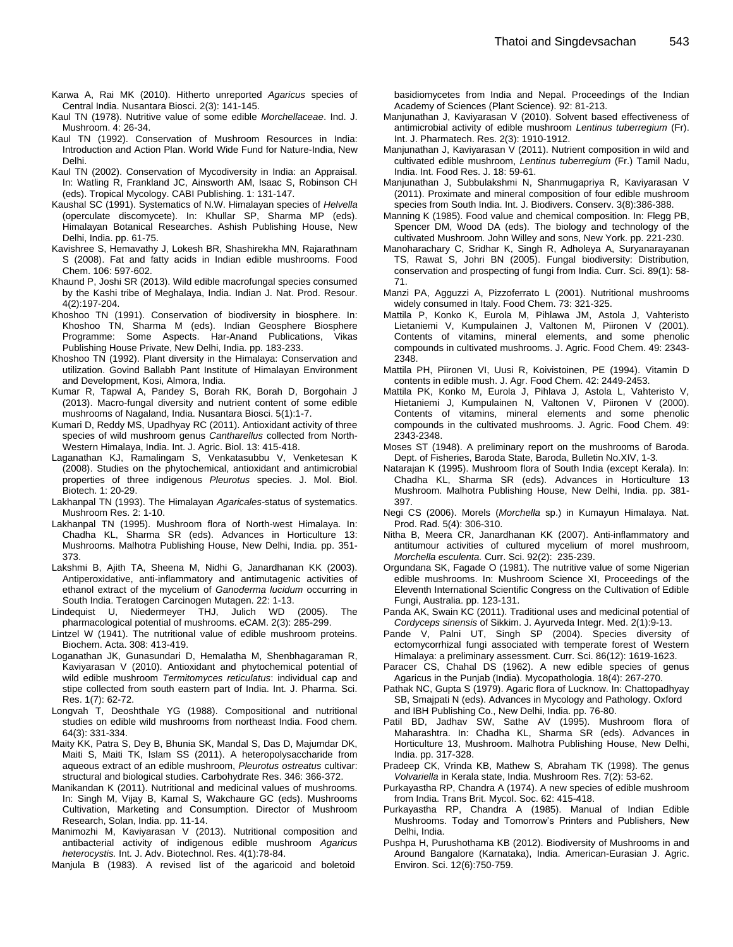- Karwa A, Rai MK (2010). Hitherto unreported *Agaricus* species of Central India. Nusantara Biosci. 2(3): 141-145.
- Kaul TN (1978). Nutritive value of some edible *Morchellaceae*. Ind. J. Mushroom. 4: 26-34.
- Kaul TN (1992). Conservation of Mushroom Resources in India: Introduction and Action Plan. World Wide Fund for Nature-India, New Delhi.
- Kaul TN (2002). Conservation of Mycodiversity in India: an Appraisal. In: Watling R, Frankland JC, Ainsworth AM, Isaac S, Robinson CH (eds). Tropical Mycology. CABI Publishing. 1: 131-147.
- Kaushal SC (1991). Systematics of N.W. Himalayan species of *Helvella*  (operculate discomycete). In: Khullar SP, Sharma MP (eds). Himalayan Botanical Researches. Ashish Publishing House, New Delhi, India. pp. 61-75.
- Kavishree S, Hemavathy J, Lokesh BR, Shashirekha MN, Rajarathnam S (2008). Fat and fatty acids in Indian edible mushrooms. Food Chem. 106: 597-602.
- Khaund P, Joshi SR (2013). Wild edible macrofungal species consumed by the Kashi tribe of Meghalaya, India. Indian J. Nat. Prod. Resour. 4(2):197-204.
- Khoshoo TN (1991). Conservation of biodiversity in biosphere. In: Khoshoo TN, Sharma M (eds). Indian Geosphere Biosphere Programme: Some Aspects. Har-Anand Publications, Vikas Publishing House Private, New Delhi, India. pp. 183-233.
- Khoshoo TN (1992). Plant diversity in the Himalaya: Conservation and utilization. Govind Ballabh Pant Institute of Himalayan Environment and Development, Kosi, Almora, India.
- Kumar R, Tapwal A, Pandey S, Borah RK, Borah D, Borgohain J (2013). Macro-fungal diversity and nutrient content of some edible mushrooms of Nagaland, India. Nusantara Biosci. 5(1):1-7.
- Kumari D, Reddy MS, Upadhyay RC (2011). Antioxidant activity of three species of wild mushroom genus *Cantharellus* collected from North-Western Himalaya, India. Int. J. Agric. Biol. 13: 415-418.
- Laganathan KJ, Ramalingam S, Venkatasubbu V, Venketesan K (2008). Studies on the phytochemical, antioxidant and antimicrobial properties of three indigenous *Pleurotus* species. J. Mol. Biol. Biotech. 1: 20-29.
- Lakhanpal TN (1993). The Himalayan *Agaricales-*status of systematics. Mushroom Res. 2: 1-10.
- Lakhanpal TN (1995). Mushroom flora of North-west Himalaya. In: Chadha KL, Sharma SR (eds). Advances in Horticulture 13: Mushrooms. Malhotra Publishing House, New Delhi, India. pp. 351- 373.
- Lakshmi B, Ajith TA, Sheena M, Nidhi G, Janardhanan KK (2003). Antiperoxidative, anti-inflammatory and antimutagenic activities of ethanol extract of the mycelium of *Ganoderma lucidum* occurring in South India. Teratogen Carcinogen Mutagen. 22: 1-13.
- Lindequist U, Niedermeyer THJ, Julich WD (2005). The pharmacological potential of mushrooms. eCAM. 2(3): 285-299.
- Lintzel W (1941). The nutritional value of edible mushroom proteins. Biochem. Acta. 308: 413-419.
- Loganathan JK, Gunasundari D, Hemalatha M, Shenbhagaraman R, Kaviyarasan V (2010). Antioxidant and phytochemical potential of wild edible mushroom *Termitomyces reticulatus*: individual cap and stipe collected from south eastern part of India. Int. J. Pharma. Sci. Res. 1(7): 62-72.
- Longvah T, Deoshthale YG (1988). Compositional and nutritional studies on edible wild mushrooms from northeast India. Food chem. 64(3): 331-334.
- Maity KK, Patra S, Dey B, Bhunia SK, Mandal S, Das D, Majumdar DK, Maiti S, Maiti TK, Islam SS (2011). A heteropolysaccharide from aqueous extract of an edible mushroom, *Pleurotus ostreatus* cultivar: structural and biological studies. Carbohydrate Res. 346: 366-372.
- Manikandan K (2011). Nutritional and medicinal values of mushrooms. In: Singh M, Vijay B, Kamal S, Wakchaure GC (eds). Mushrooms Cultivation, Marketing and Consumption. Director of Mushroom Research, Solan, India. pp. 11-14.
- Manimozhi M, Kaviyarasan V (2013). Nutritional composition and antibacterial activity of indigenous edible mushroom *Agaricus heterocystis.* Int. J. Adv. Biotechnol. Res. 4(1):78-84.
- Manjula B (1983). A revised list of the agaricoid and boletoid

basidiomycetes from India and Nepal. Proceedings of the Indian Academy of Sciences (Plant Science). 92: 81-213.

- Manjunathan J, Kaviyarasan V (2010). Solvent based effectiveness of antimicrobial activity of edible mushroom *Lentinus tuberregium* (Fr). Int. J. Pharmatech. Res. 2(3): 1910-1912.
- Manjunathan J, Kaviyarasan V (2011). Nutrient composition in wild and cultivated edible mushroom, *Lentinus tuberregium* (Fr.) Tamil Nadu, India. Int. Food Res. J. 18: 59-61.
- Manjunathan J, Subbulakshmi N, Shanmugapriya R, Kaviyarasan V (2011). Proximate and mineral composition of four edible mushroom species from South India. Int. J. Biodivers. Conserv. 3(8):386-388.
- Manning K (1985). Food value and chemical composition. In: Flegg PB, Spencer DM, Wood DA (eds). The biology and technology of the cultivated Mushroom*.* John Willey and sons, New York. pp. 221-230.
- Manoharachary C, Sridhar K, Singh R, Adholeya A, Suryanarayanan TS, Rawat S, Johri BN (2005). Fungal biodiversity: Distribution, conservation and prospecting of fungi from India. Curr. Sci. 89(1): 58- 71.
- Manzi PA, Agguzzi A, Pizzoferrato L (2001). Nutritional mushrooms widely consumed in Italy. Food Chem. 73: 321-325.
- Mattila P, Konko K, Eurola M, Pihlawa JM, Astola J, Vahteristo Lietaniemi V, Kumpulainen J, Valtonen M, Piironen V (2001). Contents of vitamins, mineral elements, and some phenolic compounds in cultivated mushrooms. J. Agric. Food Chem. 49: 2343- 2348.
- Mattila PH, Piironen VI, Uusi R, Koivistoinen, PE (1994). Vitamin D contents in edible mush. J. Agr. Food Chem. 42: 2449-2453.
- Mattila PK, Konko M, Eurola J, Pihlava J, Astola L, Vahteristo V, Hietaniemi J, Kumpulainen N, Valtonen V, Piironen V (2000). Contents of vitamins, mineral elements and some phenolic compounds in the cultivated mushrooms. J. Agric. Food Chem. 49: 2343-2348.
- Moses ST (1948). A preliminary report on the mushrooms of Baroda. Dept. of Fisheries, Baroda State, Baroda, Bulletin No.XIV, 1-3.
- Natarajan K (1995). Mushroom flora of South India (except Kerala). In: Chadha KL, Sharma SR (eds). Advances in Horticulture 13 Mushroom. Malhotra Publishing House, New Delhi, India. pp. 381- 397.
- Negi CS (2006). Morels (*Morchella* sp.) in Kumayun Himalaya. Nat. Prod. Rad. 5(4): 306-310.
- Nitha B, Meera CR, Janardhanan KK (2007). Anti-inflammatory and antitumour activities of cultured mycelium of morel mushroom, *Morchella esculenta.* Curr. Sci. 92(2): 235-239.
- Orgundana SK, Fagade O (1981). The nutritive value of some Nigerian edible mushrooms. In: Mushroom Science XI, Proceedings of the Eleventh International Scientific Congress on the Cultivation of Edible Fungi, Australia. pp. 123-131.
- Panda AK, Swain KC (2011). Traditional uses and medicinal potential of *Cordyceps sinensis* of Sikkim. J. Ayurveda Integr. Med. 2(1):9-13.
- Pande V, Palni UT, Singh SP (2004). Species diversity of ectomycorrhizal fungi associated with temperate forest of Western Himalaya: a preliminary assessment. Curr. Sci. 86(12): 1619-1623.
- Paracer CS, Chahal DS (1962). A new edible species of genus Agaricus in the Punjab (India). Mycopathologia. 18(4): 267-270.
- Pathak NC, Gupta S (1979). Agaric flora of Lucknow. In: Chattopadhyay SB, Smajpati N (eds). Advances in Mycology and Pathology. Oxford and IBH Publishing Co., New Delhi, India. pp. 76-80.
- Patil BD, Jadhav SW, Sathe AV (1995). Mushroom flora of Maharashtra. In: Chadha KL, Sharma SR (eds). Advances in Horticulture 13, Mushroom. Malhotra Publishing House, New Delhi, India. pp. 317-328.
- Pradeep CK, Vrinda KB, Mathew S, Abraham TK (1998). The genus *Volvariella* in Kerala state, India. Mushroom Res. 7(2): 53-62.
- Purkayastha RP, Chandra A (1974). A new species of edible mushroom from India. Trans Brit. Mycol. Soc. 62: 415-418.
- Purkayastha RP, Chandra A (1985). Manual of Indian Edible Mushrooms. Today and Tomorrow's Printers and Publishers, New Delhi, India.
- Pushpa H, Purushothama KB (2012). Biodiversity of Mushrooms in and Around Bangalore (Karnataka), India. American-Eurasian J. Agric. Environ. Sci. 12(6):750-759.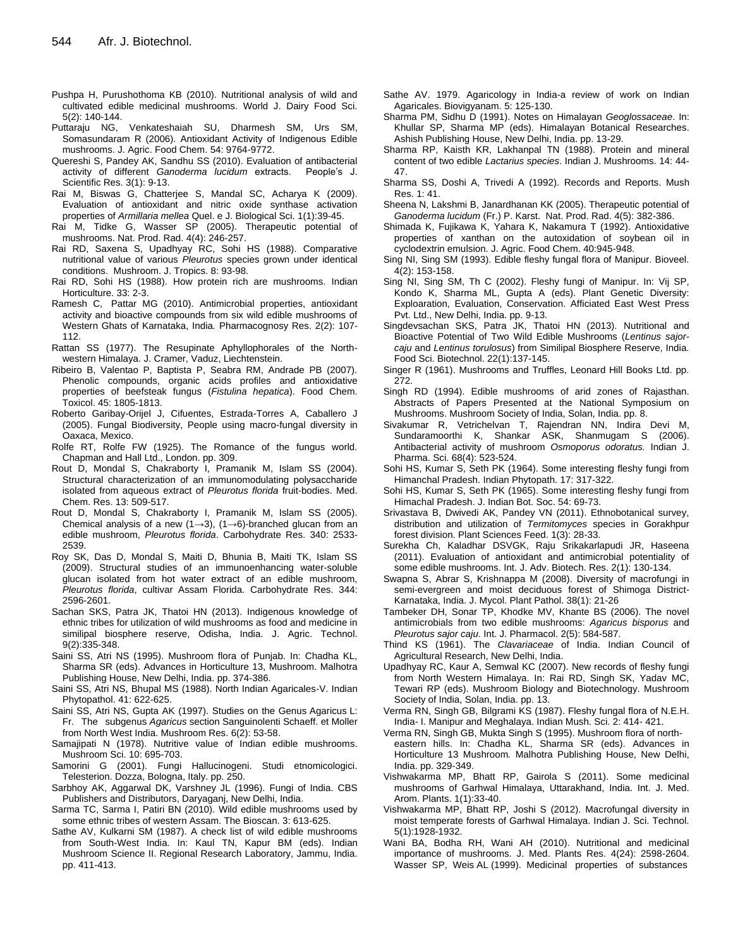- Pushpa H, Purushothoma KB (2010). Nutritional analysis of wild and cultivated edible medicinal mushrooms. World J. Dairy Food Sci. 5(2): 140-144.
- Puttaraju NG, Venkateshaiah SU, Dharmesh SM, Urs SM, Somasundaram R (2006). Antioxidant Activity of Indigenous Edible mushrooms. J. Agric. Food Chem. 54: 9764-9772.
- Quereshi S, Pandey AK, Sandhu SS (2010). Evaluation of antibacterial activity of different *Ganoderma lucidum* extracts. People's J. Scientific Res. 3(1): 9-13.
- Rai M, Biswas G, Chatterjee S, Mandal SC, Acharya K (2009). Evaluation of antioxidant and nitric oxide synthase activation properties of *Armillaria mellea* Quel. e J. Biological Sci. 1(1):39-45.
- Rai M, Tidke G, Wasser SP (2005). Therapeutic potential of mushrooms. Nat. Prod. Rad. 4(4): 246-257.
- Rai RD, Saxena S, Upadhyay RC, Sohi HS (1988). Comparative nutritional value of various *Pleurotus* species grown under identical conditions. Mushroom. J. Tropics. 8: 93-98.
- Rai RD, Sohi HS (1988). How protein rich are mushrooms. Indian Horticulture. 33: 2-3.
- [Ramesh](http://www.phcogres.com/searchresult.asp?search=&author=Ch%2E+Ramesh&journal=Y&but_search=Search&entries=10&pg=1&s=0) C, [Pattar](http://www.phcogres.com/searchresult.asp?search=&author=Manohar+G+Pattar&journal=Y&but_search=Search&entries=10&pg=1&s=0) MG (2010). Antimicrobial properties, antioxidant activity and bioactive compounds from six wild edible mushrooms of Western Ghats of Karnataka, India*.* Pharmacognosy Res. 2(2): 107- 112.
- Rattan SS (1977). The Resupinate Aphyllophorales of the Northwestern Himalaya. J. Cramer, Vaduz, Liechtenstein.
- Ribeiro B, Valentao P, Baptista P, Seabra RM, Andrade PB (2007). Phenolic compounds, organic acids profiles and antioxidative properties of beefsteak fungus (*Fistulina hepatica*). Food Chem. Toxicol. 45: 1805-1813.
- Roberto Garibay-Orijel J, Cifuentes, Estrada-Torres A, Caballero J (2005). Fungal Biodiversity, People using macro-fungal diversity in Oaxaca, Mexico.
- Rolfe RT, Rolfe FW (1925). The Romance of the fungus world. Chapman and Hall Ltd., London. pp. 309.
- Rout D, Mondal S, Chakraborty I, Pramanik M, Islam SS (2004). Structural characterization of an immunomodulating polysaccharide isolated from aqueous extract of *Pleurotus florida* fruit-bodies. Med. Chem. Res. 13: 509-517.
- Rout D, Mondal S, Chakraborty I, Pramanik M, Islam SS (2005). Chemical analysis of a new (1→3), (1→6)-branched glucan from an edible mushroom, *Pleurotus florida*. Carbohydrate Res. 340: 2533- 2539.
- Roy SK, Das D, Mondal S, Maiti D, Bhunia B, Maiti TK, Islam SS (2009). Structural studies of an immunoenhancing water-soluble glucan isolated from hot water extract of an edible mushroom, *Pleurotus florida*, cultivar Assam Florida. Carbohydrate Res. 344: 2596-2601.
- Sachan SKS, Patra JK, Thatoi HN (2013). Indigenous knowledge of ethnic tribes for utilization of wild mushrooms as food and medicine in similipal biosphere reserve, Odisha, India. J. Agric. Technol. 9(2):335-348.
- Saini SS, Atri NS (1995). Mushroom flora of Punjab. In: Chadha KL, Sharma SR (eds). Advances in Horticulture 13, Mushroom. Malhotra Publishing House, New Delhi, India. pp. 374-386.
- Saini SS, Atri NS, Bhupal MS (1988). North Indian Agaricales-V. Indian Phytopathol. 41: 622-625.
- Saini SS, Atri NS, Gupta AK (1997). Studies on the Genus Agaricus L: Fr. The subgenus *Agaricus* section Sanguinolenti Schaeff. et Moller from North West India. Mushroom Res. 6(2): 53-58.
- Samajipati N (1978). Nutritive value of Indian edible mushrooms. Mushroom Sci. 10: 695-703.
- Samorini G (2001). Fungi Hallucinogeni. Studi etnomicologici. Telesterion. Dozza, Bologna, Italy. pp. 250.
- Sarbhoy AK, Aggarwal DK, Varshney JL (1996). Fungi of India. CBS Publishers and Distributors, Daryaganj, New Delhi, India.
- Sarma TC, Sarma I, Patiri BN (2010). Wild edible mushrooms used by some ethnic tribes of western Assam. The Bioscan. 3: 613-625.
- Sathe AV, Kulkarni SM (1987). A check list of wild edible mushrooms from South-West India. In: Kaul TN, Kapur BM (eds). Indian Mushroom Science II. Regional Research Laboratory, Jammu, India. pp. 411-413.
- Sathe AV. 1979. Agaricology in India-a review of work on Indian Agaricales. Biovigyanam. 5: 125-130.
- Sharma PM, Sidhu D (1991). Notes on Himalayan *Geoglossaceae*. In: Khullar SP, Sharma MP (eds). Himalayan Botanical Researches. Ashish Publishing House, New Delhi, India. pp. 13-29.
- Sharma RP, Kaisth KR, Lakhanpal TN (1988). Protein and mineral content of two edible *Lactarius species*. Indian J. Mushrooms. 14: 44- 47.
- Sharma SS, Doshi A, Trivedi A (1992). Records and Reports. Mush Res. 1: 41.
- Sheena N, Lakshmi B, Janardhanan KK (2005). Therapeutic potential of *Ganoderma lucidum* (Fr.) P. Karst. Nat. Prod. Rad. 4(5): 382-386.
- Shimada K, Fujikawa K, Yahara K, Nakamura T (1992). Antioxidative properties of xanthan on the autoxidation of soybean oil in cyclodextrin emulsion. J. Agric. Food Chem. 40:945-948.
- Sing NI, Sing SM (1993). Edible fleshy fungal flora of Manipur. Bioveel. 4(2): 153-158.
- Sing NI, Sing SM, Th C (2002). Fleshy fungi of Manipur. In: Vij SP, Kondo K, Sharma ML, Gupta A (eds). Plant Genetic Diversity: Exploaration, Evaluation, Conservation. Afficiated East West Press Pvt. Ltd., New Delhi, India. pp. 9-13.
- Singdevsachan SKS, Patra JK, Thatoi HN (2013). Nutritional and Bioactive Potential of Two Wild Edible Mushrooms (*Lentinus sajorcaju* and *Lentinus torulosus*) from Similipal Biosphere Reserve, India. Food Sci. Biotechnol. 22(1):137-145.
- Singer R (1961). Mushrooms and Truffles, Leonard Hill Books Ltd. pp. 272.
- Singh RD (1994). Edible mushrooms of arid zones of Rajasthan. Abstracts of Papers Presented at the National Symposium on Mushrooms. Mushroom Society of India, Solan, India. pp. 8.
- [Sivakumar](http://www.ijpsonline.com/searchresult.asp?search=&author=R+Sivakumar&journal=Y&but_search=Search&entries=10&pg=1&s=0) R, [Vetrichelvan](http://www.ijpsonline.com/searchresult.asp?search=&author=T+Vetrichelvan&journal=Y&but_search=Search&entries=10&pg=1&s=0) T, [Rajendran](http://www.ijpsonline.com/searchresult.asp?search=&author=NN+Rajendran&journal=Y&but_search=Search&entries=10&pg=1&s=0) NN, [Indira Devi](http://www.ijpsonline.com/searchresult.asp?search=&author=M+Indira+Devi&journal=Y&but_search=Search&entries=10&pg=1&s=0) M, [Sundaramoorthi](http://www.ijpsonline.com/searchresult.asp?search=&author=K+Sundaramoorthi&journal=Y&but_search=Search&entries=10&pg=1&s=0) K, [Shankar](http://www.ijpsonline.com/searchresult.asp?search=&author=ASK+Shankar&journal=Y&but_search=Search&entries=10&pg=1&s=0) ASK, [Shanmugam](http://www.ijpsonline.com/searchresult.asp?search=&author=S+Shanmugam&journal=Y&but_search=Search&entries=10&pg=1&s=0) S (2006). Antibacterial activity of mushroom *Osmoporus odoratus.* Indian J. Pharma. Sci. 68(4): 523-524.
- Sohi HS, Kumar S, Seth PK (1964). Some interesting fleshy fungi from Himanchal Pradesh. Indian Phytopath. 17: 317-322.
- Sohi HS, Kumar S, Seth PK (1965). Some interesting fleshy fungi from Himachal Pradesh. J. Indian Bot. Soc. 54: 69-73.
- Srivastava B, Dwivedi AK, Pandey VN (2011). Ethnobotanical survey, distribution and utilization of *Termitomyces* species in Gorakhpur forest division. Plant Sciences Feed. 1(3): 28-33.
- Surekha Ch, Kaladhar DSVGK, Raju Srikakarlapudi JR, Haseena (2011). Evaluation of antioxidant and antimicrobial potentiality of some edible mushrooms. Int. J. Adv. Biotech. Res. 2(1): 130-134.
- Swapna S, Abrar S, Krishnappa M (2008). Diversity of macrofungi in semi-evergreen and moist deciduous forest of Shimoga District-Karnataka, India. J. Mycol. Plant Pathol. 38(1): 21-26
- Tambeker DH, Sonar TP, Khodke MV, Khante BS (2006). The novel antimicrobials from two edible mushrooms: *Agaricus bisporus* and *Pleurotus sajor caju*. Int. J. Pharmacol. 2(5): 584-587.
- Thind KS (1961). The *Clavariaceae* of India. Indian Council of Agricultural Research, New Delhi, India.
- Upadhyay RC, Kaur A, Semwal KC (2007). New records of fleshy fungi from North Western Himalaya. In: Rai RD, Singh SK, Yadav MC, Tewari RP (eds). Mushroom Biology and Biotechnology. Mushroom Society of India, Solan, India. pp. 13.
- Verma RN, Singh GB, Bilgrami KS (1987). Fleshy fungal flora of N.E.H. India- I. Manipur and Meghalaya. Indian Mush. Sci. 2: 414- 421.
- Verma RN, Singh GB, Mukta Singh S (1995). Mushroom flora of north-
- eastern hills. In: Chadha KL, Sharma SR (eds). Advances in Horticulture 13 Mushroom*.* Malhotra Publishing House, New Delhi, India. pp. 329-349.
- Vishwakarma MP, Bhatt RP, Gairola S (2011). Some medicinal mushrooms of Garhwal Himalaya, Uttarakhand, India. Int. J. Med. Arom. Plants. 1(1):33-40.
- Vishwakarma MP, Bhatt RP, Joshi S (2012). Macrofungal diversity in moist temperate forests of Garhwal Himalaya. Indian J. Sci. Technol. 5(1):1928-1932.
- Wani BA, Bodha RH, Wani AH (2010). Nutritional and medicinal importance of mushrooms. J. Med. Plants Res. 4(24): 2598-2604. Wasser SP, Weis AL (1999). Medicinal properties of substances